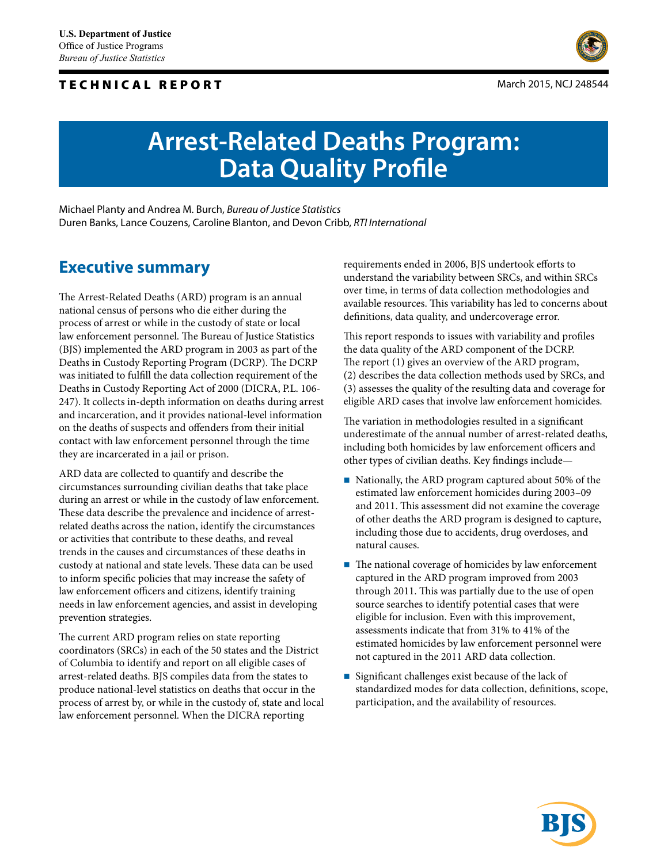## TECHNICAL REPORT



# **Arrest-Related Deaths Program: Data Quality Profile**

Michael Planty and Andrea M. Burch, *Bureau of Justice Statistics* Duren Banks, Lance Couzens, Caroline Blanton, and Devon Cribb, *RTI International*

## **Executive summary**

The Arrest-Related Deaths (ARD) program is an annual national census of persons who die either during the process of arrest or while in the custody of state or local law enforcement personnel. The Bureau of Justice Statistics (BJS) implemented the ARD program in 2003 as part of the Deaths in Custody Reporting Program (DCRP). The DCRP was initiated to fulfill the data collection requirement of the Deaths in Custody Reporting Act of 2000 (DICRA, P.L. 106- 247). It collects in-depth information on deaths during arrest and incarceration, and it provides national-level information on the deaths of suspects and offenders from their initial contact with law enforcement personnel through the time they are incarcerated in a jail or prison.

ARD data are collected to quantify and describe the circumstances surrounding civilian deaths that take place during an arrest or while in the custody of law enforcement. These data describe the prevalence and incidence of arrestrelated deaths across the nation, identify the circumstances or activities that contribute to these deaths, and reveal trends in the causes and circumstances of these deaths in custody at national and state levels. These data can be used to inform specific policies that may increase the safety of law enforcement officers and citizens, identify training needs in law enforcement agencies, and assist in developing prevention strategies.

The current ARD program relies on state reporting coordinators (SRCs) in each of the 50 states and the District of Columbia to identify and report on all eligible cases of arrest-related deaths. BJS compiles data from the states to produce national-level statistics on deaths that occur in the process of arrest by, or while in the custody of, state and local law enforcement personnel. When the DICRA reporting

requirements ended in 2006, BJS undertook efforts to understand the variability between SRCs, and within SRCs over time, in terms of data collection methodologies and available resources. This variability has led to concerns about definitions, data quality, and undercoverage error.

This report responds to issues with variability and profiles the data quality of the ARD component of the DCRP. The report (1) gives an overview of the ARD program, (2) describes the data collection methods used by SRCs, and (3) assesses the quality of the resulting data and coverage for eligible ARD cases that involve law enforcement homicides.

The variation in methodologies resulted in a significant underestimate of the annual number of arrest-related deaths, including both homicides by law enforcement officers and other types of civilian deaths. Key findings include—

- Nationally, the ARD program captured about 50% of the estimated law enforcement homicides during 2003–09 and 2011. This assessment did not examine the coverage of other deaths the ARD program is designed to capture, including those due to accidents, drug overdoses, and natural causes.
- $\blacksquare$  The national coverage of homicides by law enforcement captured in the ARD program improved from 2003 through 2011. This was partially due to the use of open source searches to identify potential cases that were eligible for inclusion. Even with this improvement, assessments indicate that from 31% to 41% of the estimated homicides by law enforcement personnel were not captured in the 2011 ARD data collection.
- Significant challenges exist because of the lack of standardized modes for data collection, definitions, scope, participation, and the availability of resources.

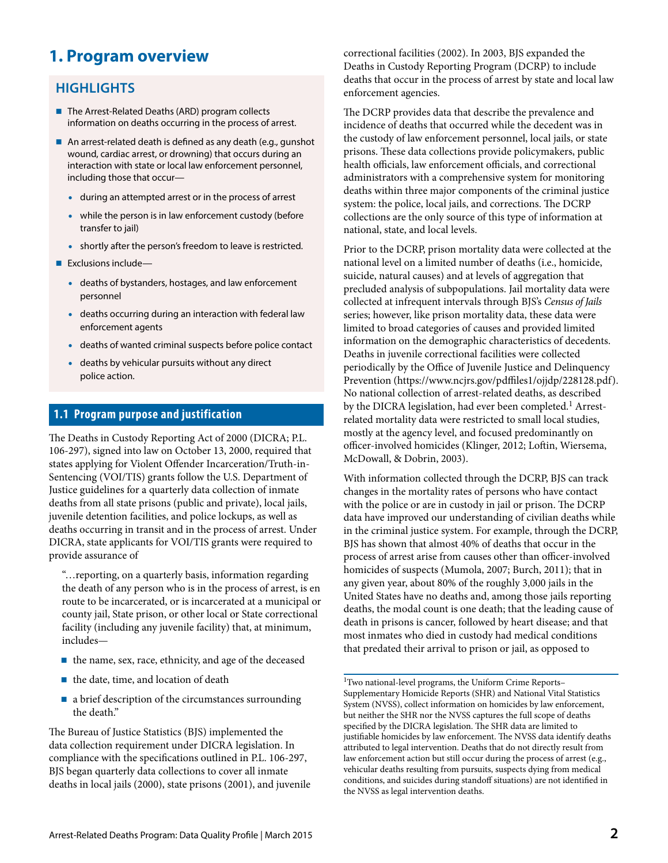## **1. Program overview**

## **HIGHLIGHTS**

- The Arrest-Related Deaths (ARD) program collects information on deaths occurring in the process of arrest.
- An arrest-related death is defined as any death (e.g., gunshot wound, cardiac arrest, or drowning) that occurs during an interaction with state or local law enforcement personnel, including those that occur—
	- during an attempted arrest or in the process of arrest
	- while the person is in law enforcement custody (before transfer to jail)
	- shortly after the person's freedom to leave is restricted.
- $\blacksquare$  Exclusions include-
	- deaths of bystanders, hostages, and law enforcement personnel
	- deaths occurring during an interaction with federal law enforcement agents
	- deaths of wanted criminal suspects before police contact
	- deaths by vehicular pursuits without any direct police action.

## **1.1 Program purpose and justification**

The Deaths in Custody Reporting Act of 2000 (DICRA; P.L. 106-297), signed into law on October 13, 2000, required that states applying for Violent Offender Incarceration/Truth-in-Sentencing (VOI/TIS) grants follow the U.S. Department of Justice guidelines for a quarterly data collection of inmate deaths from all state prisons (public and private), local jails, juvenile detention facilities, and police lockups, as well as deaths occurring in transit and in the process of arrest. Under DICRA, state applicants for VOI/TIS grants were required to provide assurance of

"…reporting, on a quarterly basis, information regarding the death of any person who is in the process of arrest, is en route to be incarcerated, or is incarcerated at a municipal or county jail, State prison, or other local or State correctional facility (including any juvenile facility) that, at minimum, includes—

- the name, sex, race, ethnicity, and age of the deceased
- $\blacksquare$  the date, time, and location of death
- a brief description of the circumstances surrounding the death."

The Bureau of Justice Statistics (BJS) implemented the data collection requirement under DICRA legislation. In compliance with the specifications outlined in P.L. 106-297, BJS began quarterly data collections to cover all inmate deaths in local jails (2000), state prisons (2001), and juvenile correctional facilities (2002). In 2003, BJS expanded the Deaths in Custody Reporting Program (DCRP) to include deaths that occur in the process of arrest by state and local law enforcement agencies.

The DCRP provides data that describe the prevalence and incidence of deaths that occurred while the decedent was in the custody of law enforcement personnel, local jails, or state prisons. These data collections provide policymakers, public health officials, law enforcement officials, and correctional administrators with a comprehensive system for monitoring deaths within three major components of the criminal justice system: the police, local jails, and corrections. The DCRP collections are the only source of this type of information at national, state, and local levels.

Prior to the DCRP, prison mortality data were collected at the national level on a limited number of deaths (i.e., homicide, suicide, natural causes) and at levels of aggregation that precluded analysis of subpopulations. Jail mortality data were collected at infrequent intervals through BJS's *Census of Jails* series; however, like prison mortality data, these data were limited to broad categories of causes and provided limited information on the demographic characteristics of decedents. Deaths in juvenile correctional facilities were collected periodically by the Office of Juvenile Justice and Delinquency Prevention (https://www.ncjrs.gov/pdffiles1/ojjdp/228128.pdf). No national collection of arrest-related deaths, as described by the DICRA legislation, had ever been completed.<sup>1</sup> Arrestrelated mortality data were restricted to small local studies, mostly at the agency level, and focused predominantly on officer-involved homicides (Klinger, 2012; Loftin, Wiersema, McDowall, & Dobrin, 2003).

With information collected through the DCRP, BJS can track changes in the mortality rates of persons who have contact with the police or are in custody in jail or prison. The DCRP data have improved our understanding of civilian deaths while in the criminal justice system. For example, through the DCRP, BJS has shown that almost 40% of deaths that occur in the process of arrest arise from causes other than officer-involved homicides of suspects (Mumola, 2007; Burch, 2011); that in any given year, about 80% of the roughly 3,000 jails in the United States have no deaths and, among those jails reporting deaths, the modal count is one death; that the leading cause of death in prisons is cancer, followed by heart disease; and that most inmates who died in custody had medical conditions that predated their arrival to prison or jail, as opposed to

1Two national-level programs, the Uniform Crime Reports– Supplementary Homicide Reports (SHR) and National Vital Statistics System (NVSS), collect information on homicides by law enforcement, but neither the SHR nor the NVSS captures the full scope of deaths specified by the DICRA legislation. The SHR data are limited to justifiable homicides by law enforcement. The NVSS data identify deaths attributed to legal intervention. Deaths that do not directly result from law enforcement action but still occur during the process of arrest (e.g., vehicular deaths resulting from pursuits, suspects dying from medical conditions, and suicides during standoff situations) are not identified in the NVSS as legal intervention deaths.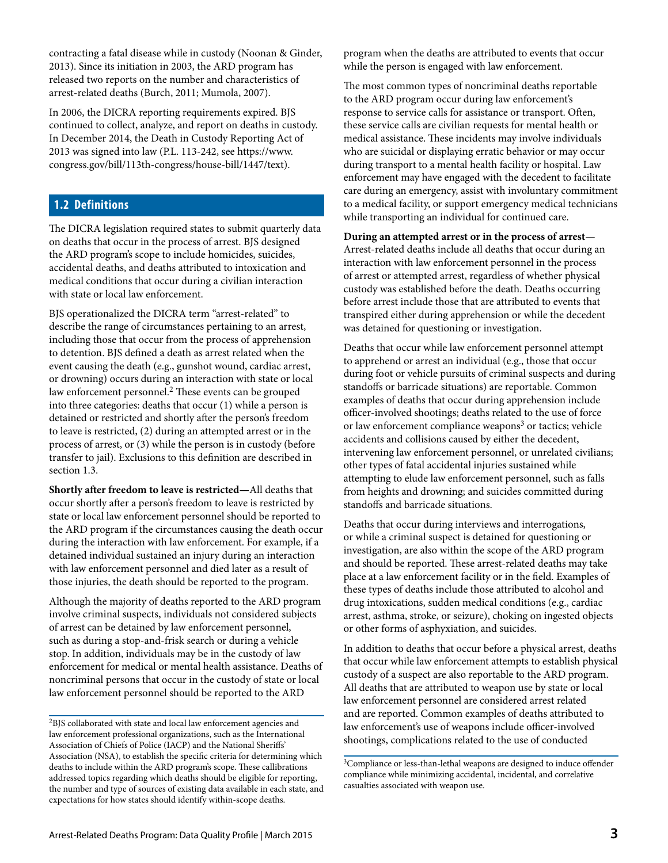contracting a fatal disease while in custody (Noonan & Ginder, 2013). Since its initiation in 2003, the ARD program has released two reports on the number and characteristics of arrest-related deaths (Burch, 2011; Mumola, 2007).

In 2006, the DICRA reporting requirements expired. BJS continued to collect, analyze, and report on deaths in custody. In December 2014, the Death in Custody Reporting Act of 2013 was signed into law (P.L. 113-242, see https://www. congress.gov/bill/113th-congress/house-bill/1447/text).

### **1.2 Definitions**

The DICRA legislation required states to submit quarterly data on deaths that occur in the process of arrest. BJS designed the ARD program's scope to include homicides, suicides, accidental deaths, and deaths attributed to intoxication and medical conditions that occur during a civilian interaction with state or local law enforcement.

BJS operationalized the DICRA term "arrest-related" to describe the range of circumstances pertaining to an arrest, including those that occur from the process of apprehension to detention. BJS defined a death as arrest related when the event causing the death (e.g., gunshot wound, cardiac arrest, or drowning) occurs during an interaction with state or local law enforcement personnel.<sup>2</sup> These events can be grouped into three categories: deaths that occur (1) while a person is detained or restricted and shortly after the person's freedom to leave is restricted, (2) during an attempted arrest or in the process of arrest, or (3) while the person is in custody (before transfer to jail). Exclusions to this definition are described in section 1.3.

**Shortly after freedom to leave is restricted—**All deaths that occur shortly after a person's freedom to leave is restricted by state or local law enforcement personnel should be reported to the ARD program if the circumstances causing the death occur during the interaction with law enforcement. For example, if a detained individual sustained an injury during an interaction with law enforcement personnel and died later as a result of those injuries, the death should be reported to the program.

Although the majority of deaths reported to the ARD program involve criminal suspects, individuals not considered subjects of arrest can be detained by law enforcement personnel, such as during a stop-and-frisk search or during a vehicle stop. In addition, individuals may be in the custody of law enforcement for medical or mental health assistance. Deaths of noncriminal persons that occur in the custody of state or local law enforcement personnel should be reported to the ARD

program when the deaths are attributed to events that occur while the person is engaged with law enforcement.

The most common types of noncriminal deaths reportable to the ARD program occur during law enforcement's response to service calls for assistance or transport. Often, these service calls are civilian requests for mental health or medical assistance. These incidents may involve individuals who are suicidal or displaying erratic behavior or may occur during transport to a mental health facility or hospital. Law enforcement may have engaged with the decedent to facilitate care during an emergency, assist with involuntary commitment to a medical facility, or support emergency medical technicians while transporting an individual for continued care.

#### **During an attempted arrest or in the process of arrest**—

Arrest-related deaths include all deaths that occur during an interaction with law enforcement personnel in the process of arrest or attempted arrest, regardless of whether physical custody was established before the death. Deaths occurring before arrest include those that are attributed to events that transpired either during apprehension or while the decedent was detained for questioning or investigation.

Deaths that occur while law enforcement personnel attempt to apprehend or arrest an individual (e.g., those that occur during foot or vehicle pursuits of criminal suspects and during standoffs or barricade situations) are reportable. Common examples of deaths that occur during apprehension include officer-involved shootings; deaths related to the use of force or law enforcement compliance weapons $3$  or tactics; vehicle accidents and collisions caused by either the decedent, intervening law enforcement personnel, or unrelated civilians; other types of fatal accidental injuries sustained while attempting to elude law enforcement personnel, such as falls from heights and drowning; and suicides committed during standoffs and barricade situations.

Deaths that occur during interviews and interrogations, or while a criminal suspect is detained for questioning or investigation, are also within the scope of the ARD program and should be reported. These arrest-related deaths may take place at a law enforcement facility or in the field. Examples of these types of deaths include those attributed to alcohol and drug intoxications, sudden medical conditions (e.g., cardiac arrest, asthma, stroke, or seizure), choking on ingested objects or other forms of asphyxiation, and suicides.

In addition to deaths that occur before a physical arrest, deaths that occur while law enforcement attempts to establish physical custody of a suspect are also reportable to the ARD program. All deaths that are attributed to weapon use by state or local law enforcement personnel are considered arrest related and are reported. Common examples of deaths attributed to law enforcement's use of weapons include officer-involved shootings, complications related to the use of conducted

<sup>2</sup>BJS collaborated with state and local law enforcement agencies and law enforcement professional organizations, such as the International Association of Chiefs of Police (IACP) and the National Sheriffs' Association (NSA), to establish the specific criteria for determining which deaths to include within the ARD program's scope. These callibrations addressed topics regarding which deaths should be eligible for reporting, the number and type of sources of existing data available in each state, and expectations for how states should identify within-scope deaths.

<sup>&</sup>lt;sup>3</sup>Compliance or less-than-lethal weapons are designed to induce offender compliance while minimizing accidental, incidental, and correlative casualties associated with weapon use.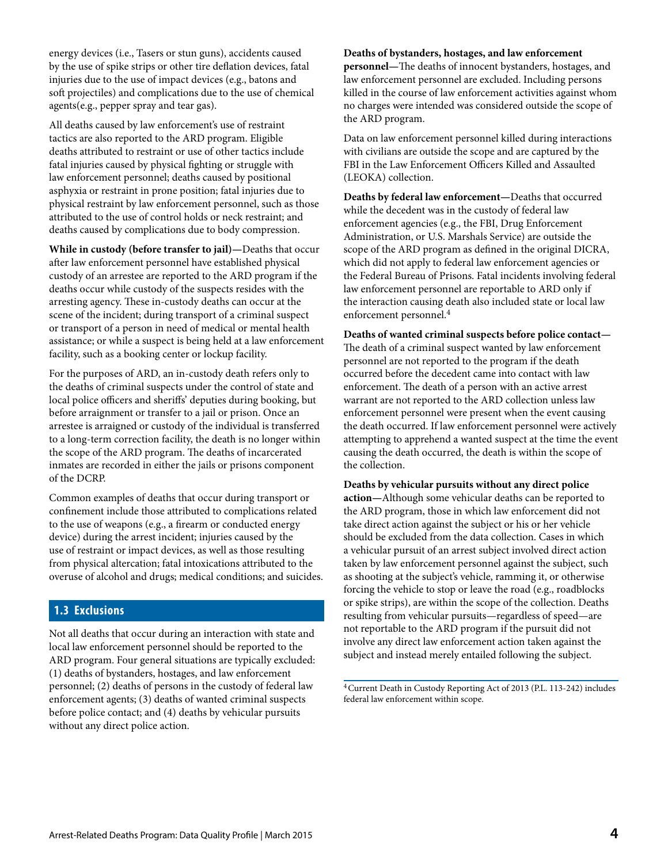energy devices (i.e., Tasers or stun guns), accidents caused by the use of spike strips or other tire deflation devices, fatal injuries due to the use of impact devices (e.g., batons and soft projectiles) and complications due to the use of chemical agents(e.g., pepper spray and tear gas).

All deaths caused by law enforcement's use of restraint tactics are also reported to the ARD program. Eligible deaths attributed to restraint or use of other tactics include fatal injuries caused by physical fighting or struggle with law enforcement personnel; deaths caused by positional asphyxia or restraint in prone position; fatal injuries due to physical restraint by law enforcement personnel, such as those attributed to the use of control holds or neck restraint; and deaths caused by complications due to body compression.

**While in custody (before transfer to jail)—**Deaths that occur after law enforcement personnel have established physical custody of an arrestee are reported to the ARD program if the deaths occur while custody of the suspects resides with the arresting agency. These in-custody deaths can occur at the scene of the incident; during transport of a criminal suspect or transport of a person in need of medical or mental health assistance; or while a suspect is being held at a law enforcement facility, such as a booking center or lockup facility.

For the purposes of ARD, an in-custody death refers only to the deaths of criminal suspects under the control of state and local police officers and sheriffs' deputies during booking, but before arraignment or transfer to a jail or prison. Once an arrestee is arraigned or custody of the individual is transferred to a long-term correction facility, the death is no longer within the scope of the ARD program. The deaths of incarcerated inmates are recorded in either the jails or prisons component of the DCRP.

Common examples of deaths that occur during transport or confinement include those attributed to complications related to the use of weapons (e.g., a firearm or conducted energy device) during the arrest incident; injuries caused by the use of restraint or impact devices, as well as those resulting from physical altercation; fatal intoxications attributed to the overuse of alcohol and drugs; medical conditions; and suicides.

## **1.3 Exclusions**

Not all deaths that occur during an interaction with state and local law enforcement personnel should be reported to the ARD program. Four general situations are typically excluded: (1) deaths of bystanders, hostages, and law enforcement personnel; (2) deaths of persons in the custody of federal law enforcement agents; (3) deaths of wanted criminal suspects before police contact; and (4) deaths by vehicular pursuits without any direct police action.

#### **Deaths of bystanders, hostages, and law enforcement**

**personnel—**The deaths of innocent bystanders, hostages, and law enforcement personnel are excluded. Including persons killed in the course of law enforcement activities against whom no charges were intended was considered outside the scope of the ARD program.

Data on law enforcement personnel killed during interactions with civilians are outside the scope and are captured by the FBI in the Law Enforcement Officers Killed and Assaulted (LEOKA) collection.

**Deaths by federal law enforcement—**Deaths that occurred while the decedent was in the custody of federal law enforcement agencies (e.g., the FBI, Drug Enforcement Administration, or U.S. Marshals Service) are outside the scope of the ARD program as defined in the original DICRA, which did not apply to federal law enforcement agencies or the Federal Bureau of Prisons. Fatal incidents involving federal law enforcement personnel are reportable to ARD only if the interaction causing death also included state or local law enforcement personnel.<sup>4</sup>

#### **Deaths of wanted criminal suspects before police contact—**

The death of a criminal suspect wanted by law enforcement personnel are not reported to the program if the death occurred before the decedent came into contact with law enforcement. The death of a person with an active arrest warrant are not reported to the ARD collection unless law enforcement personnel were present when the event causing the death occurred. If law enforcement personnel were actively attempting to apprehend a wanted suspect at the time the event causing the death occurred, the death is within the scope of the collection.

#### **Deaths by vehicular pursuits without any direct police action—**Although some vehicular deaths can be reported to the ARD program, those in which law enforcement did not take direct action against the subject or his or her vehicle should be excluded from the data collection. Cases in which a vehicular pursuit of an arrest subject involved direct action taken by law enforcement personnel against the subject, such as shooting at the subject's vehicle, ramming it, or otherwise

forcing the vehicle to stop or leave the road (e.g., roadblocks or spike strips), are within the scope of the collection. Deaths resulting from vehicular pursuits—regardless of speed—are not reportable to the ARD program if the pursuit did not involve any direct law enforcement action taken against the subject and instead merely entailed following the subject.

4Current Death in Custody Reporting Act of 2013 (P.L. 113-242) includes federal law enforcement within scope.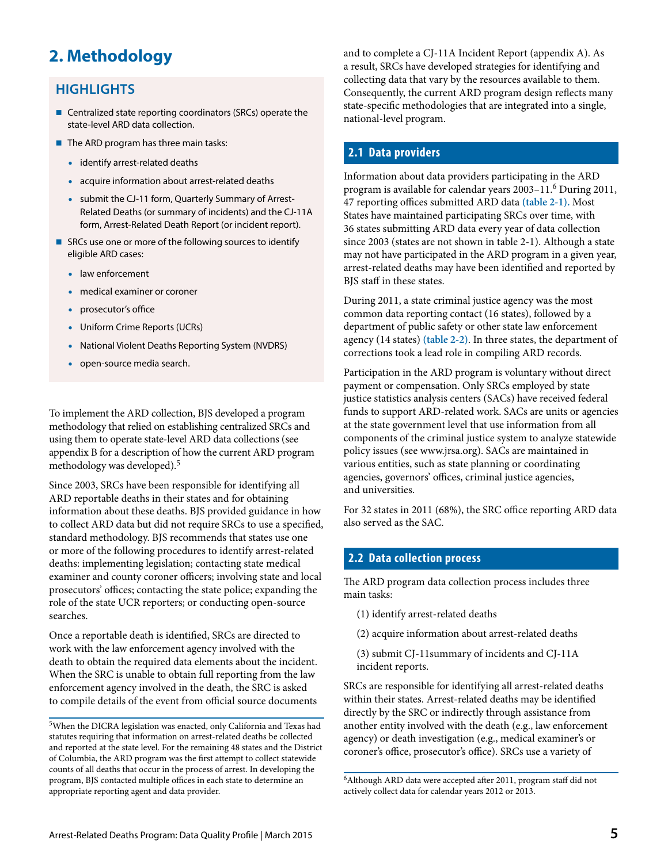## **2. Methodology**

## **HIGHLIGHTS**

- Centralized state reporting coordinators (SRCs) operate the state-level ARD data collection.
- The ARD program has three main tasks:
	- identify arrest-related deaths
	- acquire information about arrest-related deaths
	- submit the CJ-11 form, Quarterly Summary of Arrest-Related Deaths (or summary of incidents) and the CJ-11A form, Arrest-Related Death Report (or incident report).
- SRCs use one or more of the following sources to identify eligible ARD cases:
	- law enforcement
	- medical examiner or coroner
	- prosecutor's office
	- Uniform Crime Reports (UCRs)
	- National Violent Deaths Reporting System (NVDRS)
	- open-source media search.

To implement the ARD collection, BJS developed a program methodology that relied on establishing centralized SRCs and using them to operate state-level ARD data collections (see appendix B for a description of how the current ARD program methodology was developed).5

Since 2003, SRCs have been responsible for identifying all ARD reportable deaths in their states and for obtaining information about these deaths. BJS provided guidance in how to collect ARD data but did not require SRCs to use a specified, standard methodology. BJS recommends that states use one or more of the following procedures to identify arrest-related deaths: implementing legislation; contacting state medical examiner and county coroner officers; involving state and local prosecutors' offices; contacting the state police; expanding the role of the state UCR reporters; or conducting open-source searches.

Once a reportable death is identified, SRCs are directed to work with the law enforcement agency involved with the death to obtain the required data elements about the incident. When the SRC is unable to obtain full reporting from the law enforcement agency involved in the death, the SRC is asked to compile details of the event from official source documents and to complete a CJ-11A Incident Report (appendix A). As a result, SRCs have developed strategies for identifying and collecting data that vary by the resources available to them. Consequently, the current ARD program design reflects many state-specific methodologies that are integrated into a single, national-level program.

## **2.1 Data providers**

Information about data providers participating in the ARD program is available for calendar years 2003–11.6 During 2011, 47 reporting offices submitted ARD data **(table 2-1).** Most States have maintained participating SRCs over time, with 36 states submitting ARD data every year of data collection since 2003 (states are not shown in table 2-1). Although a state may not have participated in the ARD program in a given year, arrest-related deaths may have been identified and reported by BJS staff in these states.

During 2011, a state criminal justice agency was the most common data reporting contact (16 states), followed by a department of public safety or other state law enforcement agency (14 states) **(table 2-2)**. In three states, the department of corrections took a lead role in compiling ARD records.

Participation in the ARD program is voluntary without direct payment or compensation. Only SRCs employed by state justice statistics analysis centers (SACs) have received federal funds to support ARD-related work. SACs are units or agencies at the state government level that use information from all components of the criminal justice system to analyze statewide policy issues (see www.jrsa.org). SACs are maintained in various entities, such as state planning or coordinating agencies, governors' offices, criminal justice agencies, and universities.

For 32 states in 2011 (68%), the SRC office reporting ARD data also served as the SAC.

## **2.2 Data collection process**

The ARD program data collection process includes three main tasks:

- (1) identify arrest-related deaths
- (2) acquire information about arrest-related deaths

(3) submit CJ-11summary of incidents and CJ-11A incident reports.

SRCs are responsible for identifying all arrest-related deaths within their states. Arrest-related deaths may be identified directly by the SRC or indirectly through assistance from another entity involved with the death (e.g., law enforcement agency) or death investigation (e.g., medical examiner's or coroner's office, prosecutor's office). SRCs use a variety of

<sup>5</sup>When the DICRA legislation was enacted, only California and Texas had statutes requiring that information on arrest-related deaths be collected and reported at the state level. For the remaining 48 states and the District of Columbia, the ARD program was the first attempt to collect statewide counts of all deaths that occur in the process of arrest. In developing the program, BJS contacted multiple offices in each state to determine an appropriate reporting agent and data provider.

<sup>6</sup>Although ARD data were accepted after 2011, program staff did not actively collect data for calendar years 2012 or 2013.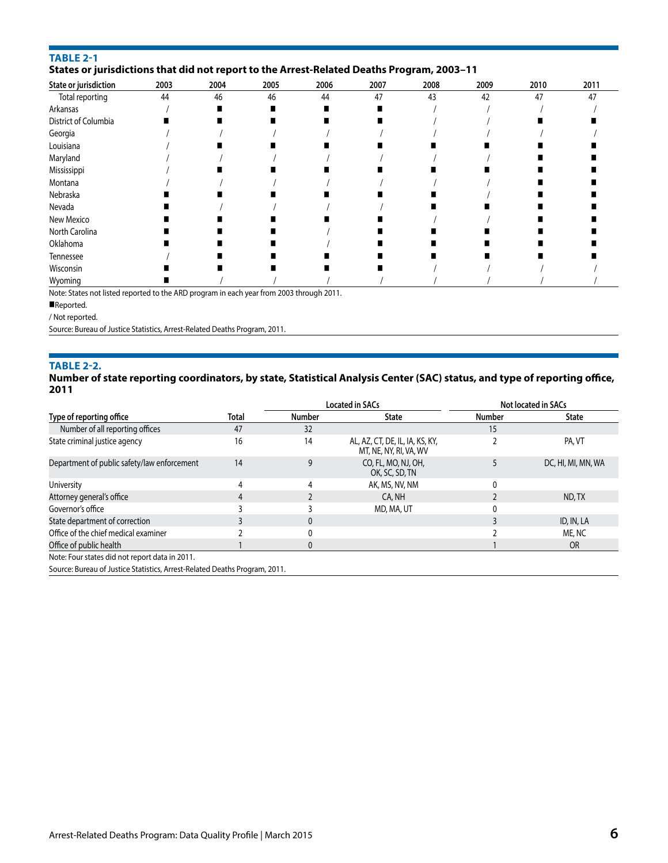#### **TABLE 2-1**

#### **States or jurisdictions that did not report to the Arrest-Related Deaths Program, 2003–11**

| State or jurisdiction | 2003 | 2004 | 2005 | 2006 | 2007 | 2008 | 2009 | 2010 | 2011 |
|-----------------------|------|------|------|------|------|------|------|------|------|
| Total reporting       | 44   | 46   | 46   | 44   | 47   | 43   | 42   | 47   | 47   |
| Arkansas              |      |      |      |      |      |      |      |      |      |
| District of Columbia  |      |      |      |      |      |      |      |      |      |
| Georgia               |      |      |      |      |      |      |      |      |      |
| Louisiana             |      |      |      |      |      |      |      |      |      |
| Maryland              |      |      |      |      |      |      |      |      |      |
| Mississippi           |      |      |      |      |      |      |      |      |      |
| Montana               |      |      |      |      |      |      |      |      |      |
| Nebraska              |      |      |      |      |      |      |      |      |      |
| Nevada                |      |      |      |      |      |      |      |      |      |
| New Mexico            |      |      |      |      |      |      |      |      |      |
| North Carolina        |      |      |      |      |      |      |      |      |      |
| Oklahoma              |      |      |      |      |      |      |      |      |      |
| Tennessee             |      |      |      |      |      |      |      |      |      |
| Wisconsin             |      |      |      |      |      |      |      |      |      |
| Wyoming               |      |      |      |      |      |      |      |      |      |

Note: States not listed reported to the ARD program in each year from 2003 through 2011.

#### Reported.

/ Not reported.

Source: Bureau of Justice Statistics, Arrest-Related Deaths Program, 2011.

#### **TABLE 2-2.**

#### **Number of state reporting coordinators, by state, Statistical Analysis Center (SAC) status, and type of reporting office, 2011**

|                                                                           |       | <b>Located in SACs</b> |                                                           |        | Not located in SACs |
|---------------------------------------------------------------------------|-------|------------------------|-----------------------------------------------------------|--------|---------------------|
| Type of reporting office                                                  | Total | Number                 | <b>State</b>                                              | Number | State               |
| Number of all reporting offices                                           | 47    | 32                     |                                                           | 15     |                     |
| State criminal justice agency                                             | 16    | 14                     | AL, AZ, CT, DE, IL, IA, KS, KY,<br>MT, NE, NY, RI, VA, WV |        | PA, VT              |
| Department of public safety/law enforcement                               | 14    | 9                      | CO, FL, MO, NJ, OH,<br>OK, SC, SD, TN                     |        | DC, HI, MI, MN, WA  |
| University                                                                |       | 4                      | AK, MS, NV, NM                                            | 0      |                     |
| Attorney general's office                                                 |       |                        | CA, NH                                                    |        | ND.TX               |
| Governor's office                                                         |       |                        | MD, MA, UT                                                |        |                     |
| State department of correction                                            |       |                        |                                                           |        | ID, IN, LA          |
| Office of the chief medical examiner                                      |       |                        |                                                           |        | ME, NC              |
| Office of public health                                                   |       |                        |                                                           |        | <b>OR</b>           |
| Note: Four states did not report data in 2011.                            |       |                        |                                                           |        |                     |
| Source: Bureau of Justice Statistics, Arrest-Related Deaths Program, 2011 |       |                        |                                                           |        |                     |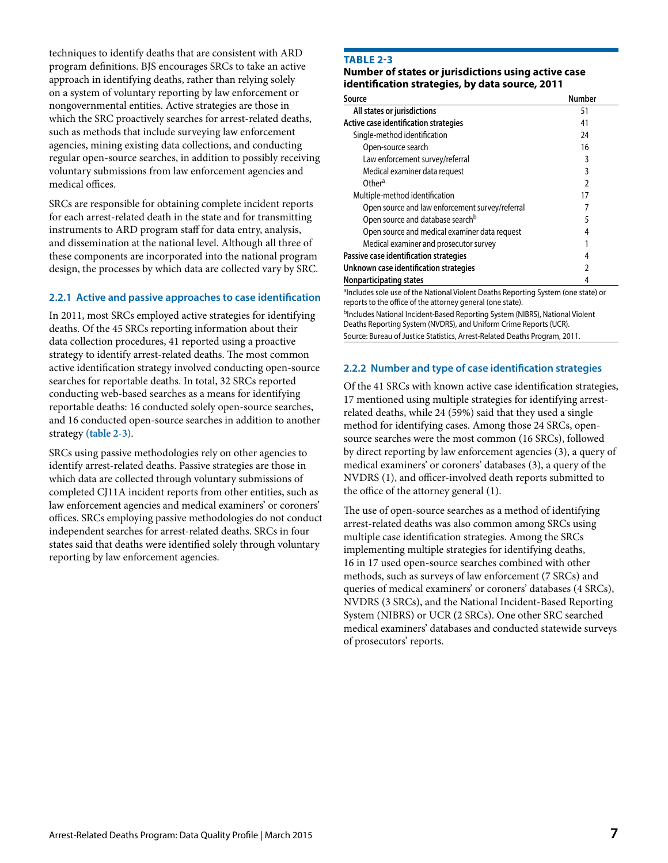techniques to identify deaths that are consistent with ARD program definitions. BJS encourages SRCs to take an active approach in identifying deaths, rather than relying solely on a system of voluntary reporting by law enforcement or nongovernmental entities. Active strategies are those in which the SRC proactively searches for arrest-related deaths, such as methods that include surveying law enforcement agencies, mining existing data collections, and conducting regular open-source searches, in addition to possibly receiving voluntary submissions from law enforcement agencies and medical offices.

SRCs are responsible for obtaining complete incident reports for each arrest-related death in the state and for transmitting instruments to ARD program staff for data entry, analysis, and dissemination at the national level. Although all three of these components are incorporated into the national program design, the processes by which data are collected vary by SRC.

#### **2.2.1 Active and passive approaches to case identification**

In 2011, most SRCs employed active strategies for identifying deaths. Of the 45 SRCs reporting information about their data collection procedures, 41 reported using a proactive strategy to identify arrest-related deaths. The most common active identification strategy involved conducting open-source searches for reportable deaths. In total, 32 SRCs reported conducting web-based searches as a means for identifying reportable deaths: 16 conducted solely open-source searches, and 16 conducted open-source searches in addition to another strategy **(table 2-3)**.

SRCs using passive methodologies rely on other agencies to identify arrest-related deaths. Passive strategies are those in which data are collected through voluntary submissions of completed CJ11A incident reports from other entities, such as law enforcement agencies and medical examiners' or coroners' offices. SRCs employing passive methodologies do not conduct independent searches for arrest-related deaths. SRCs in four states said that deaths were identified solely through voluntary reporting by law enforcement agencies.

#### **TABLE 2-3**

#### **Number of states or jurisdictions using active case identification strategies, by data source, 2011**

| Source                                                                            | <b>Number</b>  |
|-----------------------------------------------------------------------------------|----------------|
| All states or jurisdictions                                                       | 51             |
| Active case identification strategies                                             | 41             |
| Single-method identification                                                      | 24             |
| Open-source search                                                                | 16             |
| Law enforcement survey/referral                                                   | 3              |
| Medical examiner data request                                                     | 3              |
| Other <sup>a</sup>                                                                | $\mathfrak{p}$ |
| Multiple-method identification                                                    | 17             |
| Open source and law enforcement survey/referral                                   |                |
| Open source and database search <sup>b</sup>                                      | 5              |
| Open source and medical examiner data request                                     | 4              |
| Medical examiner and prosecutor survey                                            |                |
| Passive case identification strategies                                            | 4              |
| Unknown case identification strategies                                            | 2              |
| Nonparticipating states                                                           | 4              |
| alncludes sole use of the National Violent Deaths Reporting System (one state) or |                |

reports to the office of the attorney general (one state). bIncludes National Incident-Based Reporting System (NIBRS), National Violent Deaths Reporting System (NVDRS), and Uniform Crime Reports (UCR). Source: Bureau of Justice Statistics, Arrest-Related Deaths Program, 2011.

#### **2.2.2 Number and type of case identification strategies**

Of the 41 SRCs with known active case identification strategies, 17 mentioned using multiple strategies for identifying arrestrelated deaths, while 24 (59%) said that they used a single method for identifying cases. Among those 24 SRCs, opensource searches were the most common (16 SRCs), followed by direct reporting by law enforcement agencies (3), a query of medical examiners' or coroners' databases (3), a query of the NVDRS (1), and officer-involved death reports submitted to the office of the attorney general (1).

The use of open-source searches as a method of identifying arrest-related deaths was also common among SRCs using multiple case identification strategies. Among the SRCs implementing multiple strategies for identifying deaths, 16 in 17 used open-source searches combined with other methods, such as surveys of law enforcement (7 SRCs) and queries of medical examiners' or coroners' databases (4 SRCs), NVDRS (3 SRCs), and the National Incident-Based Reporting System (NIBRS) or UCR (2 SRCs). One other SRC searched medical examiners' databases and conducted statewide surveys of prosecutors' reports.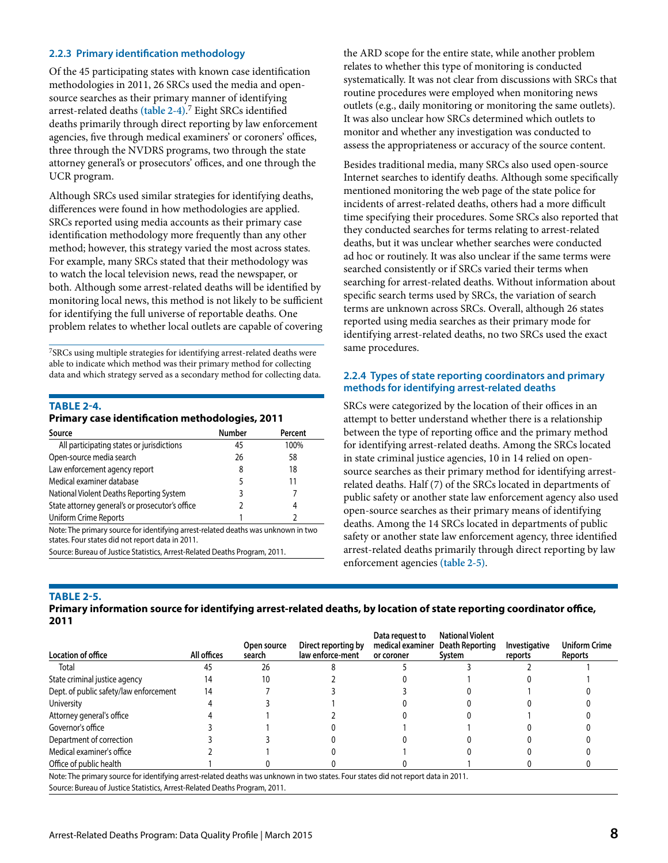#### **2.2.3 Primary identification methodology**

Of the 45 participating states with known case identification methodologies in 2011, 26 SRCs used the media and opensource searches as their primary manner of identifying arrest-related deaths **(table 2-4)**. 7 Eight SRCs identified deaths primarily through direct reporting by law enforcement agencies, five through medical examiners' or coroners' offices, three through the NVDRS programs, two through the state attorney general's or prosecutors' offices, and one through the UCR program.

Although SRCs used similar strategies for identifying deaths, differences were found in how methodologies are applied. SRCs reported using media accounts as their primary case identification methodology more frequently than any other method; however, this strategy varied the most across states. For example, many SRCs stated that their methodology was to watch the local television news, read the newspaper, or both. Although some arrest-related deaths will be identified by monitoring local news, this method is not likely to be sufficient for identifying the full universe of reportable deaths. One problem relates to whether local outlets are capable of covering

7SRCs using multiple strategies for identifying arrest-related deaths were able to indicate which method was their primary method for collecting data and which strategy served as a secondary method for collecting data.

#### **TABLE 2-4.**

#### **Primary case identification methodologies, 2011**

| Source                                                                                                                                | <b>Number</b> | Percent |
|---------------------------------------------------------------------------------------------------------------------------------------|---------------|---------|
| All participating states or jurisdictions                                                                                             | 45            | 100%    |
| Open-source media search                                                                                                              | 26            | 58      |
| Law enforcement agency report                                                                                                         | 8             | 18      |
| Medical examiner database                                                                                                             |               | 11      |
| National Violent Deaths Reporting System                                                                                              |               |         |
| State attorney general's or prosecutor's office                                                                                       |               | 4       |
| Uniform Crime Reports                                                                                                                 |               |         |
| Note: The primary source for identifying arrest-related deaths was unknown in two<br>states. Four states did not report data in 2011. |               |         |

Source: Bureau of Justice Statistics, Arrest-Related Deaths Program, 2011.

the ARD scope for the entire state, while another problem relates to whether this type of monitoring is conducted systematically. It was not clear from discussions with SRCs that routine procedures were employed when monitoring news outlets (e.g., daily monitoring or monitoring the same outlets). It was also unclear how SRCs determined which outlets to monitor and whether any investigation was conducted to assess the appropriateness or accuracy of the source content.

Besides traditional media, many SRCs also used open-source Internet searches to identify deaths. Although some specifically mentioned monitoring the web page of the state police for incidents of arrest-related deaths, others had a more difficult time specifying their procedures. Some SRCs also reported that they conducted searches for terms relating to arrest-related deaths, but it was unclear whether searches were conducted ad hoc or routinely. It was also unclear if the same terms were searched consistently or if SRCs varied their terms when searching for arrest-related deaths. Without information about specific search terms used by SRCs, the variation of search terms are unknown across SRCs. Overall, although 26 states reported using media searches as their primary mode for identifying arrest-related deaths, no two SRCs used the exact same procedures.

#### **2.2.4 Types of state reporting coordinators and primary methods for identifying arrest-related deaths**

SRCs were categorized by the location of their offices in an attempt to better understand whether there is a relationship between the type of reporting office and the primary method for identifying arrest-related deaths. Among the SRCs located in state criminal justice agencies, 10 in 14 relied on opensource searches as their primary method for identifying arrestrelated deaths. Half (7) of the SRCs located in departments of public safety or another state law enforcement agency also used open-source searches as their primary means of identifying deaths. Among the 14 SRCs located in departments of public safety or another state law enforcement agency, three identified arrest-related deaths primarily through direct reporting by law enforcement agencies **(table 2-5)**.

#### **TABLE 2-5.**

**Primary information source for identifying arrest-related deaths, by location of state reporting coordinator office, 2011**

| Location of office                                                                                                                 | All offices | Open source<br>search | Direct reporting by<br>law enforce-ment | Data request to<br>medical examiner<br>or coroner | <b>National Violent</b><br>Death Reporting<br>System | <b>Investigative</b><br>reports | <b>Uniform Crime</b><br>Reports |
|------------------------------------------------------------------------------------------------------------------------------------|-------------|-----------------------|-----------------------------------------|---------------------------------------------------|------------------------------------------------------|---------------------------------|---------------------------------|
| Total                                                                                                                              | 45          | 26                    |                                         |                                                   |                                                      |                                 |                                 |
| State criminal justice agency                                                                                                      |             | 10                    |                                         |                                                   |                                                      |                                 |                                 |
| Dept. of public safety/law enforcement                                                                                             | 14          |                       |                                         |                                                   |                                                      |                                 |                                 |
| University                                                                                                                         |             |                       |                                         |                                                   |                                                      |                                 |                                 |
| Attorney general's office                                                                                                          |             |                       |                                         |                                                   |                                                      |                                 |                                 |
| Governor's office                                                                                                                  |             |                       |                                         |                                                   |                                                      |                                 |                                 |
| Department of correction                                                                                                           |             |                       |                                         |                                                   |                                                      |                                 |                                 |
| Medical examiner's office                                                                                                          |             |                       |                                         |                                                   |                                                      |                                 |                                 |
| Office of public health                                                                                                            |             |                       |                                         |                                                   |                                                      |                                 |                                 |
| Note: The primary source for identifying arrest-related deaths was unknown in two states. Four states did not report data in 2011. |             |                       |                                         |                                                   |                                                      |                                 |                                 |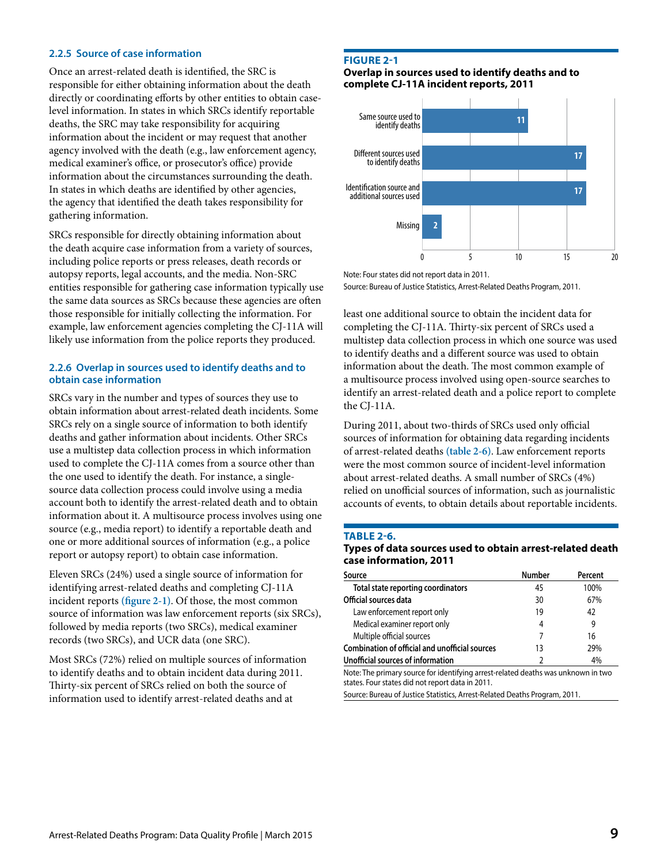#### **2.2.5 Source of case information**

Once an arrest-related death is identified, the SRC is responsible for either obtaining information about the death directly or coordinating efforts by other entities to obtain caselevel information. In states in which SRCs identify reportable deaths, the SRC may take responsibility for acquiring information about the incident or may request that another agency involved with the death (e.g., law enforcement agency, medical examiner's office, or prosecutor's office) provide information about the circumstances surrounding the death. In states in which deaths are identified by other agencies, the agency that identified the death takes responsibility for gathering information.

SRCs responsible for directly obtaining information about the death acquire case information from a variety of sources, including police reports or press releases, death records or autopsy reports, legal accounts, and the media. Non-SRC entities responsible for gathering case information typically use the same data sources as SRCs because these agencies are often those responsible for initially collecting the information. For example, law enforcement agencies completing the CJ-11A will likely use information from the police reports they produced.

#### **2.2.6 Overlap in sources used to identify deaths and to obtain case information**

SRCs vary in the number and types of sources they use to obtain information about arrest-related death incidents. Some SRCs rely on a single source of information to both identify deaths and gather information about incidents. Other SRCs use a multistep data collection process in which information used to complete the CJ-11A comes from a source other than the one used to identify the death. For instance, a singlesource data collection process could involve using a media account both to identify the arrest-related death and to obtain information about it. A multisource process involves using one source (e.g., media report) to identify a reportable death and one or more additional sources of information (e.g., a police report or autopsy report) to obtain case information.

Eleven SRCs (24%) used a single source of information for identifying arrest-related deaths and completing CJ-11A incident reports **(figure 2-1)**. Of those, the most common source of information was law enforcement reports (six SRCs), followed by media reports (two SRCs), medical examiner records (two SRCs), and UCR data (one SRC).

Most SRCs (72%) relied on multiple sources of information to identify deaths and to obtain incident data during 2011. Thirty-six percent of SRCs relied on both the source of information used to identify arrest-related deaths and at

#### **FIGURE 2-1**

**Overlap in sources used to identify deaths and to complete CJ-11A incident reports, 2011**



Note: Four states did not report data in 2011.

Source: Bureau of Justice Statistics, Arrest-Related Deaths Program, 2011.

least one additional source to obtain the incident data for completing the CJ-11A. Thirty-six percent of SRCs used a multistep data collection process in which one source was used to identify deaths and a different source was used to obtain information about the death. The most common example of a multisource process involved using open-source searches to identify an arrest-related death and a police report to complete the CJ-11A.

During 2011, about two-thirds of SRCs used only official sources of information for obtaining data regarding incidents of arrest-related deaths **(table 2-6)**. Law enforcement reports were the most common source of incident-level information about arrest-related deaths. A small number of SRCs (4%) relied on unofficial sources of information, such as journalistic accounts of events, to obtain details about reportable incidents.

#### **TABLE 2-6.**

#### **Types of data sources used to obtain arrest-related death case information, 2011**

| Source                                                | <b>Number</b> | Percent |
|-------------------------------------------------------|---------------|---------|
| Total state reporting coordinators                    | 45            | 100%    |
| Official sources data                                 | 30            | 67%     |
| Law enforcement report only                           | 19            | 42      |
| Medical examiner report only                          | 4             | 9       |
| Multiple official sources                             |               | 16      |
| <b>Combination of official and unofficial sources</b> | 13            | 29%     |
| Unofficial sources of information                     |               | 4%      |

Note: The primary source for identifying arrest-related deaths was unknown in two states. Four states did not report data in 2011.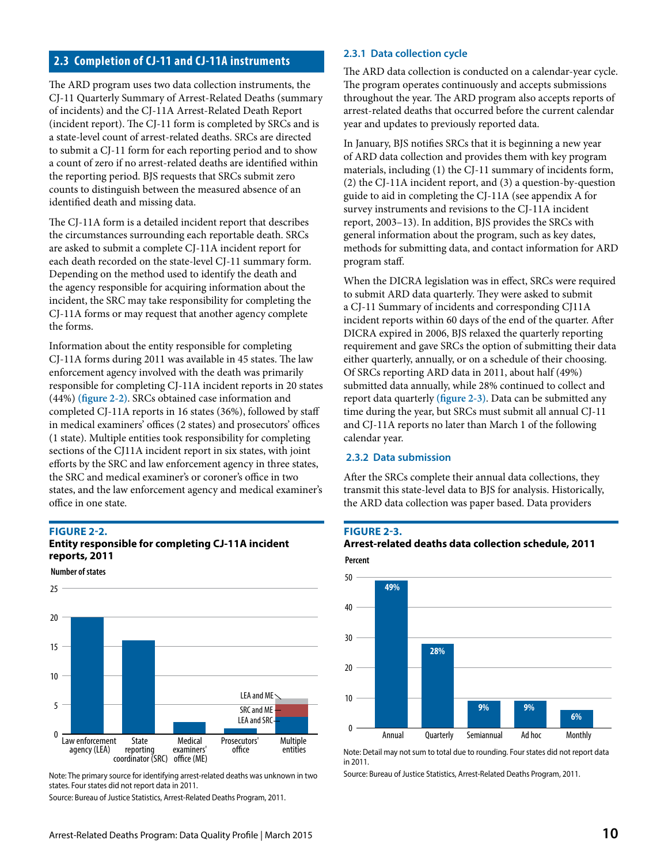## **2.3 Completion of CJ-11 and CJ-11A instruments**

The ARD program uses two data collection instruments, the CJ-11 Quarterly Summary of Arrest-Related Deaths (summary of incidents) and the CJ-11A Arrest-Related Death Report (incident report). The CJ-11 form is completed by SRCs and is a state-level count of arrest-related deaths. SRCs are directed to submit a CJ-11 form for each reporting period and to show a count of zero if no arrest-related deaths are identified within the reporting period. BJS requests that SRCs submit zero counts to distinguish between the measured absence of an identified death and missing data.

The CJ-11A form is a detailed incident report that describes the circumstances surrounding each reportable death. SRCs are asked to submit a complete CJ-11A incident report for each death recorded on the state-level CJ-11 summary form. Depending on the method used to identify the death and the agency responsible for acquiring information about the incident, the SRC may take responsibility for completing the CJ-11A forms or may request that another agency complete the forms.

Information about the entity responsible for completing CJ-11A forms during 2011 was available in 45 states. The law enforcement agency involved with the death was primarily responsible for completing CJ-11A incident reports in 20 states (44%) **(figure 2-2)**. SRCs obtained case information and completed CJ-11A reports in 16 states (36%), followed by staff in medical examiners' offices (2 states) and prosecutors' offices (1 state). Multiple entities took responsibility for completing sections of the CJ11A incident report in six states, with joint efforts by the SRC and law enforcement agency in three states, the SRC and medical examiner's or coroner's office in two states, and the law enforcement agency and medical examiner's office in one state.

#### **FIGURE 2-2.**

**Number of states**

### **Entity responsible for completing CJ-11A incident reports, 2011**



Note: The primary source for identifying arrest-related deaths was unknown in two states. Four states did not report data in 2011.

Source: Bureau of Justice Statistics, Arrest-Related Deaths Program, 2011.

#### **2.3.1 Data collection cycle**

The ARD data collection is conducted on a calendar-year cycle. The program operates continuously and accepts submissions throughout the year. The ARD program also accepts reports of arrest-related deaths that occurred before the current calendar year and updates to previously reported data.

In January, BJS notifies SRCs that it is beginning a new year of ARD data collection and provides them with key program materials, including (1) the CJ-11 summary of incidents form, (2) the CJ-11A incident report, and (3) a question-by-question guide to aid in completing the CJ-11A (see appendix A for survey instruments and revisions to the CJ-11A incident report, 2003–13). In addition, BJS provides the SRCs with general information about the program, such as key dates, methods for submitting data, and contact information for ARD program staff.

When the DICRA legislation was in effect, SRCs were required to submit ARD data quarterly. They were asked to submit a CJ-11 Summary of incidents and corresponding CJ11A incident reports within 60 days of the end of the quarter. After DICRA expired in 2006, BJS relaxed the quarterly reporting requirement and gave SRCs the option of submitting their data either quarterly, annually, or on a schedule of their choosing. Of SRCs reporting ARD data in 2011, about half (49%) submitted data annually, while 28% continued to collect and report data quarterly **(figure 2-3)**. Data can be submitted any time during the year, but SRCs must submit all annual CJ-11 and CJ-11A reports no later than March 1 of the following calendar year.

#### **2.3.2 Data submission**

After the SRCs complete their annual data collections, they transmit this state-level data to BJS for analysis. Historically, the ARD data collection was paper based. Data providers

#### **FIGURE 2-3.**

#### **Percent Arrest-related deaths data collection schedule, 2011**



Note: Detail may not sum to total due to rounding. Four states did not report data in 2011.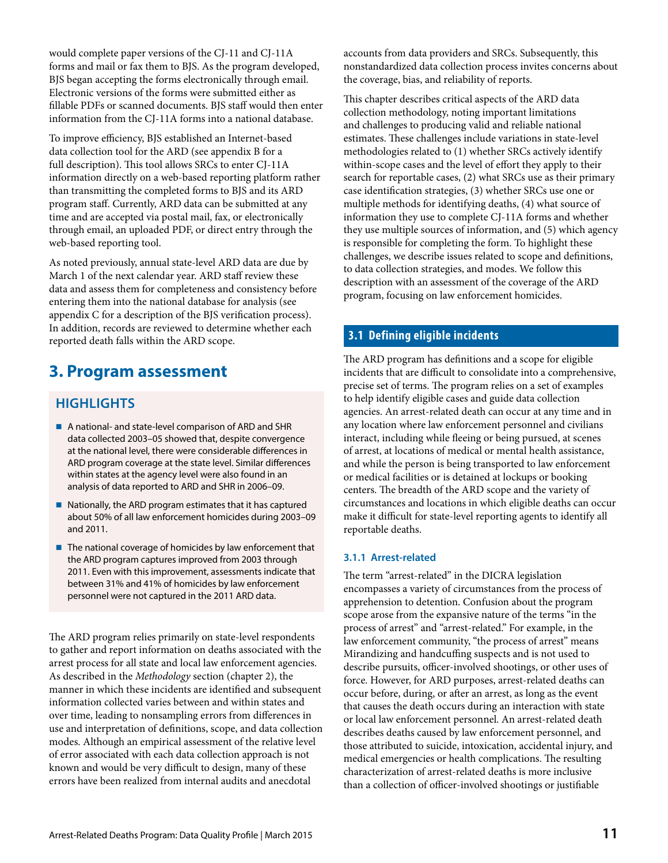would complete paper versions of the CJ-11 and CJ-11A forms and mail or fax them to BJS. As the program developed, BJS began accepting the forms electronically through email. Electronic versions of the forms were submitted either as fillable PDFs or scanned documents. BJS staff would then enter information from the CJ-11A forms into a national database.

To improve efficiency, BJS established an Internet-based data collection tool for the ARD (see appendix B for a full description). This tool allows SRCs to enter CJ-11A information directly on a web-based reporting platform rather than transmitting the completed forms to BJS and its ARD program staff. Currently, ARD data can be submitted at any time and are accepted via postal mail, fax, or electronically through email, an uploaded PDF, or direct entry through the web-based reporting tool.

As noted previously, annual state-level ARD data are due by March 1 of the next calendar year. ARD staff review these data and assess them for completeness and consistency before entering them into the national database for analysis (see appendix C for a description of the BJS verification process). In addition, records are reviewed to determine whether each reported death falls within the ARD scope.

## **3. Program assessment**

## **HIGHLIGHTS**

- A national- and state-level comparison of ARD and SHR data collected 2003–05 showed that, despite convergence at the national level, there were considerable differences in ARD program coverage at the state level. Similar differences within states at the agency level were also found in an analysis of data reported to ARD and SHR in 2006–09.
- $\blacksquare$  Nationally, the ARD program estimates that it has captured about 50% of all law enforcement homicides during 2003–09 and 2011.
- The national coverage of homicides by law enforcement that the ARD program captures improved from 2003 through 2011. Even with this improvement, assessments indicate that between 31% and 41% of homicides by law enforcement personnel were not captured in the 2011 ARD data.

The ARD program relies primarily on state-level respondents to gather and report information on deaths associated with the arrest process for all state and local law enforcement agencies. As described in the *Methodology* section (chapter 2), the manner in which these incidents are identified and subsequent information collected varies between and within states and over time, leading to nonsampling errors from differences in use and interpretation of definitions, scope, and data collection modes. Although an empirical assessment of the relative level of error associated with each data collection approach is not known and would be very difficult to design, many of these errors have been realized from internal audits and anecdotal

accounts from data providers and SRCs. Subsequently, this nonstandardized data collection process invites concerns about the coverage, bias, and reliability of reports.

This chapter describes critical aspects of the ARD data collection methodology, noting important limitations and challenges to producing valid and reliable national estimates. These challenges include variations in state-level methodologies related to (1) whether SRCs actively identify within-scope cases and the level of effort they apply to their search for reportable cases, (2) what SRCs use as their primary case identification strategies, (3) whether SRCs use one or multiple methods for identifying deaths, (4) what source of information they use to complete CJ-11A forms and whether they use multiple sources of information, and (5) which agency is responsible for completing the form. To highlight these challenges, we describe issues related to scope and definitions, to data collection strategies, and modes. We follow this description with an assessment of the coverage of the ARD program, focusing on law enforcement homicides.

## **3.1 Defining eligible incidents**

The ARD program has definitions and a scope for eligible incidents that are difficult to consolidate into a comprehensive, precise set of terms. The program relies on a set of examples to help identify eligible cases and guide data collection agencies. An arrest-related death can occur at any time and in any location where law enforcement personnel and civilians interact, including while fleeing or being pursued, at scenes of arrest, at locations of medical or mental health assistance, and while the person is being transported to law enforcement or medical facilities or is detained at lockups or booking centers. The breadth of the ARD scope and the variety of circumstances and locations in which eligible deaths can occur make it difficult for state-level reporting agents to identify all reportable deaths.

## **3.1.1 Arrest-related**

The term "arrest-related" in the DICRA legislation encompasses a variety of circumstances from the process of apprehension to detention. Confusion about the program scope arose from the expansive nature of the terms "in the process of arrest" and "arrest-related." For example, in the law enforcement community, "the process of arrest" means Mirandizing and handcuffing suspects and is not used to describe pursuits, officer-involved shootings, or other uses of force. However, for ARD purposes, arrest-related deaths can occur before, during, or after an arrest, as long as the event that causes the death occurs during an interaction with state or local law enforcement personnel. An arrest-related death describes deaths caused by law enforcement personnel, and those attributed to suicide, intoxication, accidental injury, and medical emergencies or health complications. The resulting characterization of arrest-related deaths is more inclusive than a collection of officer-involved shootings or justifiable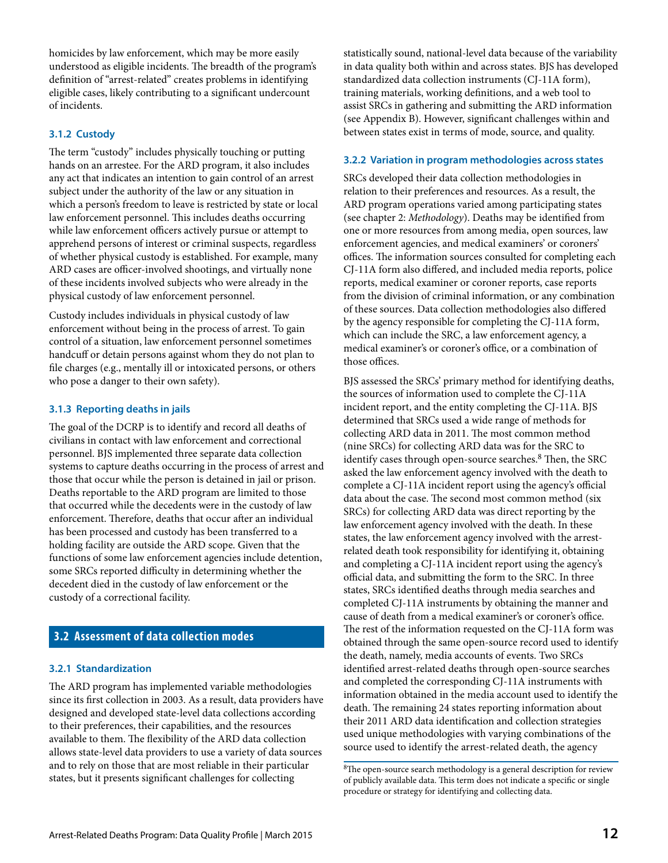homicides by law enforcement, which may be more easily understood as eligible incidents. The breadth of the program's definition of "arrest-related" creates problems in identifying eligible cases, likely contributing to a significant undercount of incidents.

#### **3.1.2 Custody**

The term "custody" includes physically touching or putting hands on an arrestee. For the ARD program, it also includes any act that indicates an intention to gain control of an arrest subject under the authority of the law or any situation in which a person's freedom to leave is restricted by state or local law enforcement personnel. This includes deaths occurring while law enforcement officers actively pursue or attempt to apprehend persons of interest or criminal suspects, regardless of whether physical custody is established. For example, many ARD cases are officer-involved shootings, and virtually none of these incidents involved subjects who were already in the physical custody of law enforcement personnel.

Custody includes individuals in physical custody of law enforcement without being in the process of arrest. To gain control of a situation, law enforcement personnel sometimes handcuff or detain persons against whom they do not plan to file charges (e.g., mentally ill or intoxicated persons, or others who pose a danger to their own safety).

#### **3.1.3 Reporting deaths in jails**

The goal of the DCRP is to identify and record all deaths of civilians in contact with law enforcement and correctional personnel. BJS implemented three separate data collection systems to capture deaths occurring in the process of arrest and those that occur while the person is detained in jail or prison. Deaths reportable to the ARD program are limited to those that occurred while the decedents were in the custody of law enforcement. Therefore, deaths that occur after an individual has been processed and custody has been transferred to a holding facility are outside the ARD scope. Given that the functions of some law enforcement agencies include detention, some SRCs reported difficulty in determining whether the decedent died in the custody of law enforcement or the custody of a correctional facility.

## **3.2 Assessment of data collection modes**

#### **3.2.1 Standardization**

The ARD program has implemented variable methodologies since its first collection in 2003. As a result, data providers have designed and developed state-level data collections according to their preferences, their capabilities, and the resources available to them. The flexibility of the ARD data collection allows state-level data providers to use a variety of data sources and to rely on those that are most reliable in their particular states, but it presents significant challenges for collecting

statistically sound, national-level data because of the variability in data quality both within and across states. BJS has developed standardized data collection instruments (CJ-11A form), training materials, working definitions, and a web tool to assist SRCs in gathering and submitting the ARD information (see Appendix B). However, significant challenges within and between states exist in terms of mode, source, and quality.

#### **3.2.2 Variation in program methodologies across states**

SRCs developed their data collection methodologies in relation to their preferences and resources. As a result, the ARD program operations varied among participating states (see chapter 2: *Methodology*). Deaths may be identified from one or more resources from among media, open sources, law enforcement agencies, and medical examiners' or coroners' offices. The information sources consulted for completing each CJ-11A form also differed, and included media reports, police reports, medical examiner or coroner reports, case reports from the division of criminal information, or any combination of these sources. Data collection methodologies also differed by the agency responsible for completing the CJ-11A form, which can include the SRC, a law enforcement agency, a medical examiner's or coroner's office, or a combination of those offices.

BJS assessed the SRCs' primary method for identifying deaths, the sources of information used to complete the CJ-11A incident report, and the entity completing the CJ-11A. BJS determined that SRCs used a wide range of methods for collecting ARD data in 2011. The most common method (nine SRCs) for collecting ARD data was for the SRC to identify cases through open-source searches.<sup>8</sup> Then, the SRC asked the law enforcement agency involved with the death to complete a CJ-11A incident report using the agency's official data about the case. The second most common method (six SRCs) for collecting ARD data was direct reporting by the law enforcement agency involved with the death. In these states, the law enforcement agency involved with the arrestrelated death took responsibility for identifying it, obtaining and completing a CJ-11A incident report using the agency's official data, and submitting the form to the SRC. In three states, SRCs identified deaths through media searches and completed CJ-11A instruments by obtaining the manner and cause of death from a medical examiner's or coroner's office. The rest of the information requested on the CJ-11A form was obtained through the same open-source record used to identify the death, namely, media accounts of events. Two SRCs identified arrest-related deaths through open-source searches and completed the corresponding CJ-11A instruments with information obtained in the media account used to identify the death. The remaining 24 states reporting information about their 2011 ARD data identification and collection strategies used unique methodologies with varying combinations of the source used to identify the arrest-related death, the agency

<sup>&</sup>lt;sup>8</sup>The open-source search methodology is a general description for review of publicly available data. This term does not indicate a specific or single procedure or strategy for identifying and collecting data.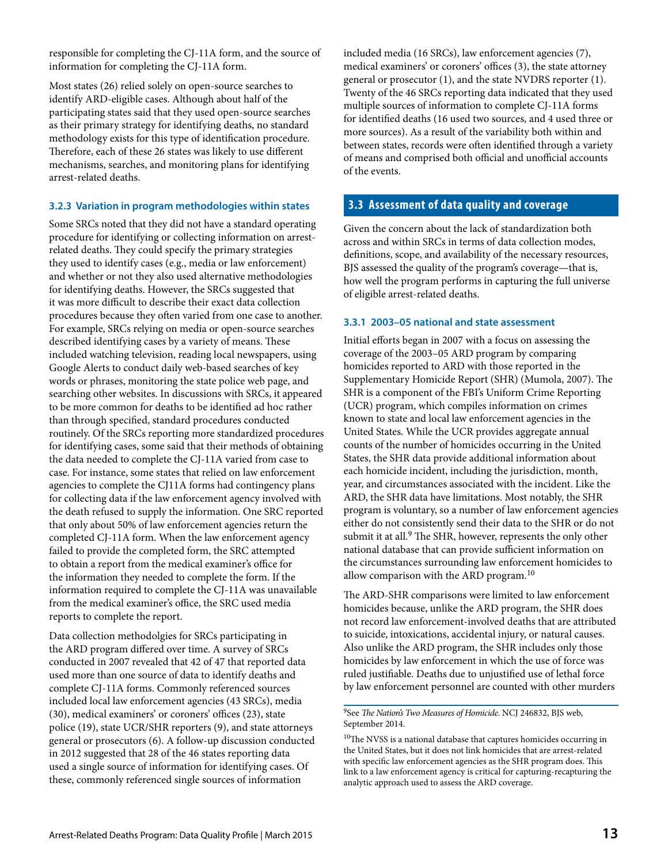responsible for completing the CJ-11A form, and the source of information for completing the CJ-11A form.

Most states (26) relied solely on open-source searches to identify ARD-eligible cases. Although about half of the participating states said that they used open-source searches as their primary strategy for identifying deaths, no standard methodology exists for this type of identification procedure. Therefore, each of these 26 states was likely to use different mechanisms, searches, and monitoring plans for identifying arrest-related deaths.

#### **3.2.3 Variation in program methodologies within states**

Some SRCs noted that they did not have a standard operating procedure for identifying or collecting information on arrestrelated deaths. They could specify the primary strategies they used to identify cases (e.g., media or law enforcement) and whether or not they also used alternative methodologies for identifying deaths. However, the SRCs suggested that it was more difficult to describe their exact data collection procedures because they often varied from one case to another. For example, SRCs relying on media or open-source searches described identifying cases by a variety of means. These included watching television, reading local newspapers, using Google Alerts to conduct daily web-based searches of key words or phrases, monitoring the state police web page, and searching other websites. In discussions with SRCs, it appeared to be more common for deaths to be identified ad hoc rather than through specified, standard procedures conducted routinely. Of the SRCs reporting more standardized procedures for identifying cases, some said that their methods of obtaining the data needed to complete the CJ-11A varied from case to case. For instance, some states that relied on law enforcement agencies to complete the CJ11A forms had contingency plans for collecting data if the law enforcement agency involved with the death refused to supply the information. One SRC reported that only about 50% of law enforcement agencies return the completed CJ-11A form. When the law enforcement agency failed to provide the completed form, the SRC attempted to obtain a report from the medical examiner's office for the information they needed to complete the form. If the information required to complete the CJ-11A was unavailable from the medical examiner's office, the SRC used media reports to complete the report.

Data collection methodolgies for SRCs participating in the ARD program differed over time. A survey of SRCs conducted in 2007 revealed that 42 of 47 that reported data used more than one source of data to identify deaths and complete CJ-11A forms. Commonly referenced sources included local law enforcement agencies (43 SRCs), media (30), medical examiners' or coroners' offices (23), state police (19), state UCR/SHR reporters (9), and state attorneys general or prosecutors (6). A follow-up discussion conducted in 2012 suggested that 28 of the 46 states reporting data used a single source of information for identifying cases. Of these, commonly referenced single sources of information

included media (16 SRCs), law enforcement agencies (7), medical examiners' or coroners' offices (3), the state attorney general or prosecutor (1), and the state NVDRS reporter (1). Twenty of the 46 SRCs reporting data indicated that they used multiple sources of information to complete CJ-11A forms for identified deaths (16 used two sources, and 4 used three or more sources). As a result of the variability both within and between states, records were often identified through a variety of means and comprised both official and unofficial accounts of the events.

### **3.3 Assessment of data quality and coverage**

Given the concern about the lack of standardization both across and within SRCs in terms of data collection modes, definitions, scope, and availability of the necessary resources, BJS assessed the quality of the program's coverage—that is, how well the program performs in capturing the full universe of eligible arrest-related deaths.

#### **3.3.1 2003–05 national and state assessment**

Initial efforts began in 2007 with a focus on assessing the coverage of the 2003–05 ARD program by comparing homicides reported to ARD with those reported in the Supplementary Homicide Report (SHR) (Mumola, 2007). The SHR is a component of the FBI's Uniform Crime Reporting (UCR) program, which compiles information on crimes known to state and local law enforcement agencies in the United States. While the UCR provides aggregate annual counts of the number of homicides occurring in the United States, the SHR data provide additional information about each homicide incident, including the jurisdiction, month, year, and circumstances associated with the incident. Like the ARD, the SHR data have limitations. Most notably, the SHR program is voluntary, so a number of law enforcement agencies either do not consistently send their data to the SHR or do not submit it at all.<sup>9</sup> The SHR, however, represents the only other national database that can provide sufficient information on the circumstances surrounding law enforcement homicides to allow comparison with the ARD program.<sup>10</sup>

The ARD-SHR comparisons were limited to law enforcement homicides because, unlike the ARD program, the SHR does not record law enforcement-involved deaths that are attributed to suicide, intoxications, accidental injury, or natural causes. Also unlike the ARD program, the SHR includes only those homicides by law enforcement in which the use of force was ruled justifiable. Deaths due to unjustified use of lethal force by law enforcement personnel are counted with other murders

9See *The Nation's Two Measures of Homicide.* NCJ 246832, BJS web, September 2014.

<sup>&</sup>lt;sup>10</sup>The NVSS is a national database that captures homicides occurring in the United States, but it does not link homicides that are arrest-related with specific law enforcement agencies as the SHR program does. This link to a law enforcement agency is critical for capturing-recapturing the analytic approach used to assess the ARD coverage.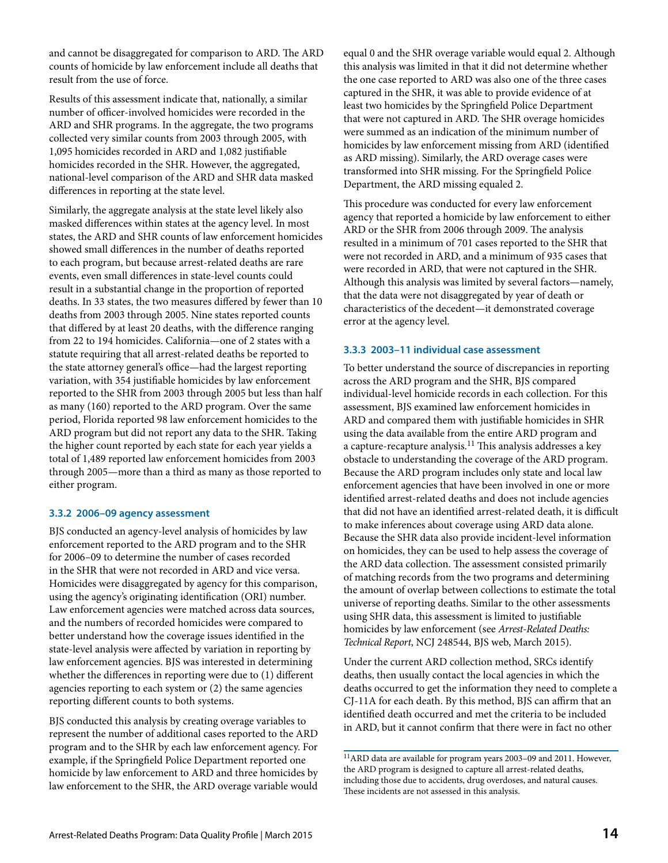and cannot be disaggregated for comparison to ARD. The ARD counts of homicide by law enforcement include all deaths that result from the use of force.

Results of this assessment indicate that, nationally, a similar number of officer-involved homicides were recorded in the ARD and SHR programs. In the aggregate, the two programs collected very similar counts from 2003 through 2005, with 1,095 homicides recorded in ARD and 1,082 justifiable homicides recorded in the SHR. However, the aggregated, national-level comparison of the ARD and SHR data masked differences in reporting at the state level.

Similarly, the aggregate analysis at the state level likely also masked differences within states at the agency level. In most states, the ARD and SHR counts of law enforcement homicides showed small differences in the number of deaths reported to each program, but because arrest-related deaths are rare events, even small differences in state-level counts could result in a substantial change in the proportion of reported deaths. In 33 states, the two measures differed by fewer than 10 deaths from 2003 through 2005. Nine states reported counts that differed by at least 20 deaths, with the difference ranging from 22 to 194 homicides. California—one of 2 states with a statute requiring that all arrest-related deaths be reported to the state attorney general's office—had the largest reporting variation, with 354 justifiable homicides by law enforcement reported to the SHR from 2003 through 2005 but less than half as many (160) reported to the ARD program. Over the same period, Florida reported 98 law enforcement homicides to the ARD program but did not report any data to the SHR. Taking the higher count reported by each state for each year yields a total of 1,489 reported law enforcement homicides from 2003 through 2005—more than a third as many as those reported to either program.

#### **3.3.2 2006–09 agency assessment**

BJS conducted an agency-level analysis of homicides by law enforcement reported to the ARD program and to the SHR for 2006–09 to determine the number of cases recorded in the SHR that were not recorded in ARD and vice versa. Homicides were disaggregated by agency for this comparison, using the agency's originating identification (ORI) number. Law enforcement agencies were matched across data sources, and the numbers of recorded homicides were compared to better understand how the coverage issues identified in the state-level analysis were affected by variation in reporting by law enforcement agencies. BJS was interested in determining whether the differences in reporting were due to (1) different agencies reporting to each system or (2) the same agencies reporting different counts to both systems.

BJS conducted this analysis by creating overage variables to represent the number of additional cases reported to the ARD program and to the SHR by each law enforcement agency. For example, if the Springfield Police Department reported one homicide by law enforcement to ARD and three homicides by law enforcement to the SHR, the ARD overage variable would

equal 0 and the SHR overage variable would equal 2. Although this analysis was limited in that it did not determine whether the one case reported to ARD was also one of the three cases captured in the SHR, it was able to provide evidence of at least two homicides by the Springfield Police Department that were not captured in ARD. The SHR overage homicides were summed as an indication of the minimum number of homicides by law enforcement missing from ARD (identified as ARD missing). Similarly, the ARD overage cases were transformed into SHR missing. For the Springfield Police Department, the ARD missing equaled 2.

This procedure was conducted for every law enforcement agency that reported a homicide by law enforcement to either ARD or the SHR from 2006 through 2009. The analysis resulted in a minimum of 701 cases reported to the SHR that were not recorded in ARD, and a minimum of 935 cases that were recorded in ARD, that were not captured in the SHR. Although this analysis was limited by several factors—namely, that the data were not disaggregated by year of death or characteristics of the decedent—it demonstrated coverage error at the agency level.

#### **3.3.3 2003–11 individual case assessment**

To better understand the source of discrepancies in reporting across the ARD program and the SHR, BJS compared individual-level homicide records in each collection. For this assessment, BJS examined law enforcement homicides in ARD and compared them with justifiable homicides in SHR using the data available from the entire ARD program and a capture-recapture analysis.<sup>11</sup> This analysis addresses a key obstacle to understanding the coverage of the ARD program. Because the ARD program includes only state and local law enforcement agencies that have been involved in one or more identified arrest-related deaths and does not include agencies that did not have an identified arrest-related death, it is difficult to make inferences about coverage using ARD data alone. Because the SHR data also provide incident-level information on homicides, they can be used to help assess the coverage of the ARD data collection. The assessment consisted primarily of matching records from the two programs and determining the amount of overlap between collections to estimate the total universe of reporting deaths. Similar to the other assessments using SHR data, this assessment is limited to justifiable homicides by law enforcement (see *Arrest-Related Deaths: Technical Report*, NCJ 248544, BJS web, March 2015).

Under the current ARD collection method, SRCs identify deaths, then usually contact the local agencies in which the deaths occurred to get the information they need to complete a CJ-11A for each death. By this method, BJS can affirm that an identified death occurred and met the criteria to be included in ARD, but it cannot confirm that there were in fact no other

 $^{11}\mathrm{ARD}$  data are available for program years 2003–09 and 2011. However, the ARD program is designed to capture all arrest-related deaths, including those due to accidents, drug overdoses, and natural causes. These incidents are not assessed in this analysis.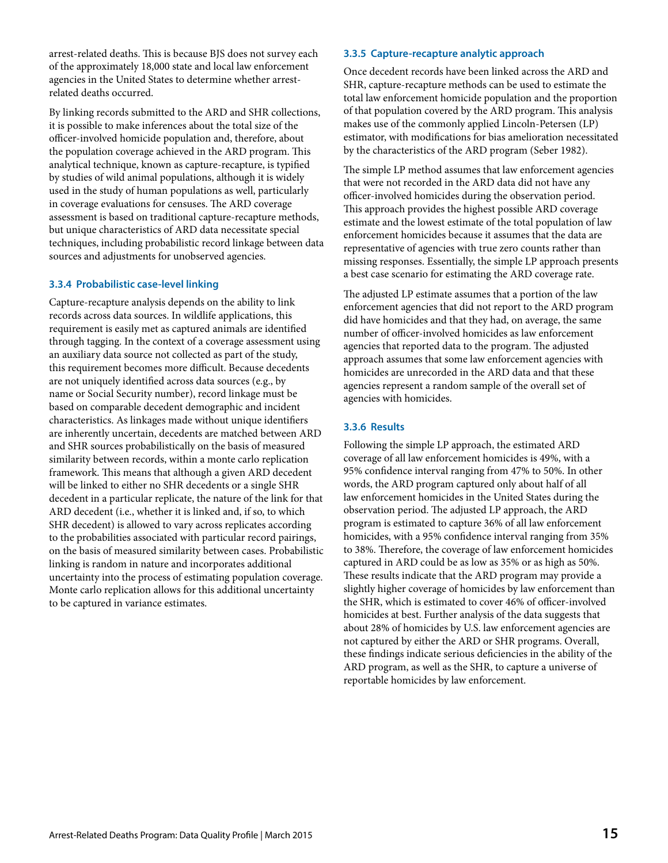arrest-related deaths. This is because BJS does not survey each of the approximately 18,000 state and local law enforcement agencies in the United States to determine whether arrestrelated deaths occurred.

By linking records submitted to the ARD and SHR collections, it is possible to make inferences about the total size of the officer-involved homicide population and, therefore, about the population coverage achieved in the ARD program. This analytical technique, known as capture-recapture, is typified by studies of wild animal populations, although it is widely used in the study of human populations as well, particularly in coverage evaluations for censuses. The ARD coverage assessment is based on traditional capture-recapture methods, but unique characteristics of ARD data necessitate special techniques, including probabilistic record linkage between data sources and adjustments for unobserved agencies.

#### **3.3.4 Probabilistic case-level linking**

Capture-recapture analysis depends on the ability to link records across data sources. In wildlife applications, this requirement is easily met as captured animals are identified through tagging. In the context of a coverage assessment using an auxiliary data source not collected as part of the study, this requirement becomes more difficult. Because decedents are not uniquely identified across data sources (e.g., by name or Social Security number), record linkage must be based on comparable decedent demographic and incident characteristics. As linkages made without unique identifiers are inherently uncertain, decedents are matched between ARD and SHR sources probabilistically on the basis of measured similarity between records, within a monte carlo replication framework. This means that although a given ARD decedent will be linked to either no SHR decedents or a single SHR decedent in a particular replicate, the nature of the link for that ARD decedent (i.e., whether it is linked and, if so, to which SHR decedent) is allowed to vary across replicates according to the probabilities associated with particular record pairings, on the basis of measured similarity between cases. Probabilistic linking is random in nature and incorporates additional uncertainty into the process of estimating population coverage. Monte carlo replication allows for this additional uncertainty to be captured in variance estimates.

#### **3.3.5 Capture-recapture analytic approach**

Once decedent records have been linked across the ARD and SHR, capture-recapture methods can be used to estimate the total law enforcement homicide population and the proportion of that population covered by the ARD program. This analysis makes use of the commonly applied Lincoln-Petersen (LP) estimator, with modifications for bias amelioration necessitated by the characteristics of the ARD program (Seber 1982).

The simple LP method assumes that law enforcement agencies that were not recorded in the ARD data did not have any officer-involved homicides during the observation period. This approach provides the highest possible ARD coverage estimate and the lowest estimate of the total population of law enforcement homicides because it assumes that the data are representative of agencies with true zero counts rather than missing responses. Essentially, the simple LP approach presents a best case scenario for estimating the ARD coverage rate.

The adjusted LP estimate assumes that a portion of the law enforcement agencies that did not report to the ARD program did have homicides and that they had, on average, the same number of officer-involved homicides as law enforcement agencies that reported data to the program. The adjusted approach assumes that some law enforcement agencies with homicides are unrecorded in the ARD data and that these agencies represent a random sample of the overall set of agencies with homicides.

#### **3.3.6 Results**

Following the simple LP approach, the estimated ARD coverage of all law enforcement homicides is 49%, with a 95% confidence interval ranging from 47% to 50%. In other words, the ARD program captured only about half of all law enforcement homicides in the United States during the observation period. The adjusted LP approach, the ARD program is estimated to capture 36% of all law enforcement homicides, with a 95% confidence interval ranging from 35% to 38%. Therefore, the coverage of law enforcement homicides captured in ARD could be as low as 35% or as high as 50%. These results indicate that the ARD program may provide a slightly higher coverage of homicides by law enforcement than the SHR, which is estimated to cover 46% of officer-involved homicides at best. Further analysis of the data suggests that about 28% of homicides by U.S. law enforcement agencies are not captured by either the ARD or SHR programs. Overall, these findings indicate serious deficiencies in the ability of the ARD program, as well as the SHR, to capture a universe of reportable homicides by law enforcement.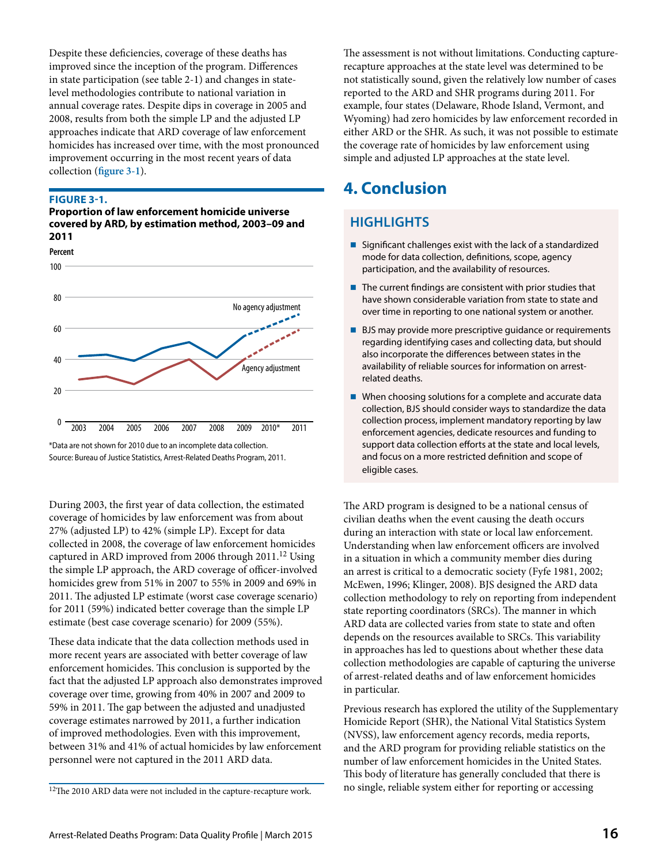Despite these deficiencies, coverage of these deaths has improved since the inception of the program. Differences in state participation (see table 2-1) and changes in statelevel methodologies contribute to national variation in annual coverage rates. Despite dips in coverage in 2005 and 2008, results from both the simple LP and the adjusted LP approaches indicate that ARD coverage of law enforcement homicides has increased over time, with the most pronounced improvement occurring in the most recent years of data collection (**figure 3-1**).

#### **FIGURE 3-1.**

**Percent**

**Proportion of law enforcement homicide universe covered by ARD, by estimation method, 2003–09 and 2011**



<sup>\*</sup>Data are not shown for 2010 due to an incomplete data collection. Source: Bureau of Justice Statistics, Arrest-Related Deaths Program, 2011.

During 2003, the first year of data collection, the estimated coverage of homicides by law enforcement was from about 27% (adjusted LP) to 42% (simple LP). Except for data collected in 2008, the coverage of law enforcement homicides captured in ARD improved from 2006 through 2011.<sup>12</sup> Using the simple LP approach, the ARD coverage of officer-involved homicides grew from 51% in 2007 to 55% in 2009 and 69% in 2011. The adjusted LP estimate (worst case coverage scenario) for 2011 (59%) indicated better coverage than the simple LP estimate (best case coverage scenario) for 2009 (55%).

These data indicate that the data collection methods used in more recent years are associated with better coverage of law enforcement homicides. This conclusion is supported by the fact that the adjusted LP approach also demonstrates improved coverage over time, growing from 40% in 2007 and 2009 to 59% in 2011. The gap between the adjusted and unadjusted coverage estimates narrowed by 2011, a further indication of improved methodologies. Even with this improvement, between 31% and 41% of actual homicides by law enforcement personnel were not captured in the 2011 ARD data.

The assessment is not without limitations. Conducting capturerecapture approaches at the state level was determined to be not statistically sound, given the relatively low number of cases reported to the ARD and SHR programs during 2011. For example, four states (Delaware, Rhode Island, Vermont, and Wyoming) had zero homicides by law enforcement recorded in either ARD or the SHR. As such, it was not possible to estimate the coverage rate of homicides by law enforcement using simple and adjusted LP approaches at the state level.

## **4. Conclusion**

## **HIGHLIGHTS**

- Significant challenges exist with the lack of a standardized mode for data collection, definitions, scope, agency participation, and the availability of resources.
- The current findings are consistent with prior studies that have shown considerable variation from state to state and over time in reporting to one national system or another.
- **BJS** may provide more prescriptive guidance or requirements regarding identifying cases and collecting data, but should also incorporate the differences between states in the availability of reliable sources for information on arrestrelated deaths.
- When choosing solutions for a complete and accurate data collection, BJS should consider ways to standardize the data collection process, implement mandatory reporting by law enforcement agencies, dedicate resources and funding to support data collection efforts at the state and local levels, and focus on a more restricted definition and scope of eligible cases.

The ARD program is designed to be a national census of civilian deaths when the event causing the death occurs during an interaction with state or local law enforcement. Understanding when law enforcement officers are involved in a situation in which a community member dies during an arrest is critical to a democratic society (Fyfe 1981, 2002; McEwen, 1996; Klinger, 2008). BJS designed the ARD data collection methodology to rely on reporting from independent state reporting coordinators (SRCs). The manner in which ARD data are collected varies from state to state and often depends on the resources available to SRCs. This variability in approaches has led to questions about whether these data collection methodologies are capable of capturing the universe of arrest-related deaths and of law enforcement homicides in particular.

Previous research has explored the utility of the Supplementary Homicide Report (SHR), the National Vital Statistics System (NVSS), law enforcement agency records, media reports, and the ARD program for providing reliable statistics on the number of law enforcement homicides in the United States. This body of literature has generally concluded that there is no single, reliable system either for reporting or accessing

 $12$ The 2010 ARD data were not included in the capture-recapture work.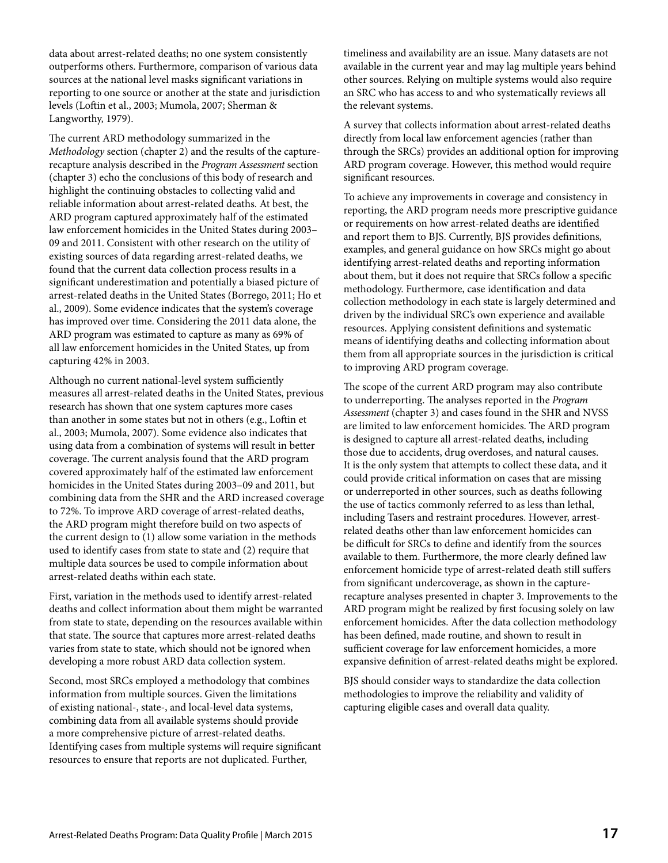data about arrest-related deaths; no one system consistently outperforms others. Furthermore, comparison of various data sources at the national level masks significant variations in reporting to one source or another at the state and jurisdiction levels (Loftin et al., 2003; Mumola, 2007; Sherman & Langworthy, 1979).

The current ARD methodology summarized in the *Methodology* section (chapter 2) and the results of the capturerecapture analysis described in the *Program Assessment* section (chapter 3) echo the conclusions of this body of research and highlight the continuing obstacles to collecting valid and reliable information about arrest-related deaths. At best, the ARD program captured approximately half of the estimated law enforcement homicides in the United States during 2003– 09 and 2011. Consistent with other research on the utility of existing sources of data regarding arrest-related deaths, we found that the current data collection process results in a significant underestimation and potentially a biased picture of arrest-related deaths in the United States (Borrego, 2011; Ho et al., 2009). Some evidence indicates that the system's coverage has improved over time. Considering the 2011 data alone, the ARD program was estimated to capture as many as 69% of all law enforcement homicides in the United States, up from capturing 42% in 2003.

Although no current national-level system sufficiently measures all arrest-related deaths in the United States, previous research has shown that one system captures more cases than another in some states but not in others (e.g., Loftin et al., 2003; Mumola, 2007). Some evidence also indicates that using data from a combination of systems will result in better coverage. The current analysis found that the ARD program covered approximately half of the estimated law enforcement homicides in the United States during 2003–09 and 2011, but combining data from the SHR and the ARD increased coverage to 72%. To improve ARD coverage of arrest-related deaths, the ARD program might therefore build on two aspects of the current design to (1) allow some variation in the methods used to identify cases from state to state and (2) require that multiple data sources be used to compile information about arrest-related deaths within each state.

First, variation in the methods used to identify arrest-related deaths and collect information about them might be warranted from state to state, depending on the resources available within that state. The source that captures more arrest-related deaths varies from state to state, which should not be ignored when developing a more robust ARD data collection system.

Second, most SRCs employed a methodology that combines information from multiple sources. Given the limitations of existing national-, state-, and local-level data systems, combining data from all available systems should provide a more comprehensive picture of arrest-related deaths. Identifying cases from multiple systems will require significant resources to ensure that reports are not duplicated. Further,

timeliness and availability are an issue. Many datasets are not available in the current year and may lag multiple years behind other sources. Relying on multiple systems would also require an SRC who has access to and who systematically reviews all the relevant systems.

A survey that collects information about arrest-related deaths directly from local law enforcement agencies (rather than through the SRCs) provides an additional option for improving ARD program coverage. However, this method would require significant resources.

To achieve any improvements in coverage and consistency in reporting, the ARD program needs more prescriptive guidance or requirements on how arrest-related deaths are identified and report them to BJS. Currently, BJS provides definitions, examples, and general guidance on how SRCs might go about identifying arrest-related deaths and reporting information about them, but it does not require that SRCs follow a specific methodology. Furthermore, case identification and data collection methodology in each state is largely determined and driven by the individual SRC's own experience and available resources. Applying consistent definitions and systematic means of identifying deaths and collecting information about them from all appropriate sources in the jurisdiction is critical to improving ARD program coverage.

The scope of the current ARD program may also contribute to underreporting. The analyses reported in the *Program Assessment* (chapter 3) and cases found in the SHR and NVSS are limited to law enforcement homicides. The ARD program is designed to capture all arrest-related deaths, including those due to accidents, drug overdoses, and natural causes. It is the only system that attempts to collect these data, and it could provide critical information on cases that are missing or underreported in other sources, such as deaths following the use of tactics commonly referred to as less than lethal, including Tasers and restraint procedures. However, arrestrelated deaths other than law enforcement homicides can be difficult for SRCs to define and identify from the sources available to them. Furthermore, the more clearly defined law enforcement homicide type of arrest-related death still suffers from significant undercoverage, as shown in the capturerecapture analyses presented in chapter 3. Improvements to the ARD program might be realized by first focusing solely on law enforcement homicides. After the data collection methodology has been defined, made routine, and shown to result in sufficient coverage for law enforcement homicides, a more expansive definition of arrest-related deaths might be explored.

BJS should consider ways to standardize the data collection methodologies to improve the reliability and validity of capturing eligible cases and overall data quality.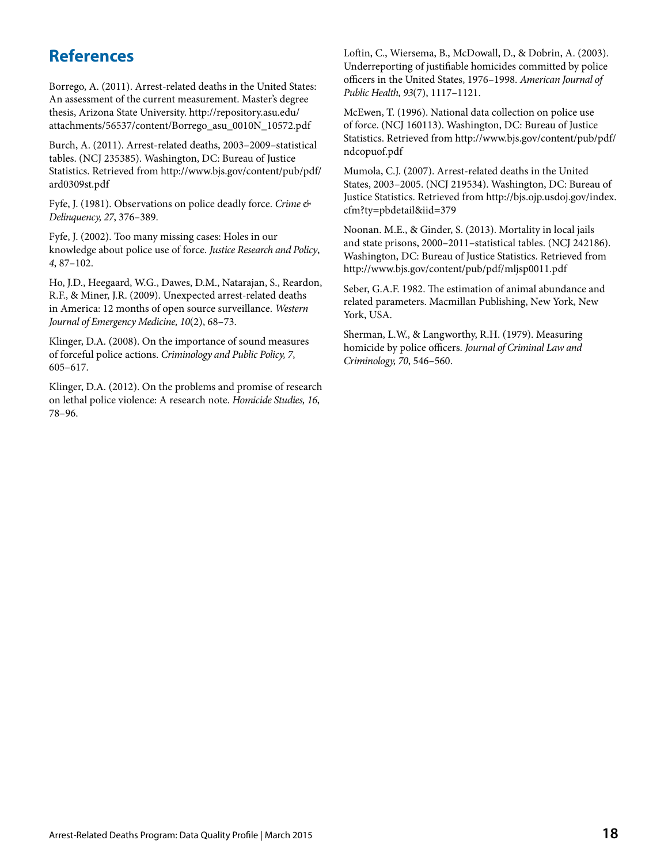## **References**

Borrego, A. (2011). Arrest-related deaths in the United States: An assessment of the current measurement. Master's degree thesis, Arizona State University. [http://repository.asu.edu/](http://repository.asu.edu/attachments/56537/content/Borrego_asu_0010N_10572.pdf) [attachments/56537/content/Borrego\\_asu\\_0010N\\_10572.pdf](http://repository.asu.edu/attachments/56537/content/Borrego_asu_0010N_10572.pdf)

Burch, A. (2011). Arrest-related deaths, 2003–2009–statistical tables. (NCJ 235385). Washington, DC: Bureau of Justice Statistics. Retrieved from [http://www.bjs.gov/content/pub/pdf/](http://www.bjs.gov/content/pub/pdf/ard0309st.pdf) [ard0309st.pdf](http://www.bjs.gov/content/pub/pdf/ard0309st.pdf)

Fyfe, J. (1981). Observations on police deadly force. *Crime & Delinquency, 27*, 376–389.

Fyfe, J. (2002). Too many missing cases: Holes in our knowledge about police use of force. *Justice Research and Policy*, *4*, 87–102.

Ho, J.D., Heegaard, W.G., Dawes, D.M., Natarajan, S., Reardon, R.F., & Miner, J.R. (2009). Unexpected arrest-related deaths in America: 12 months of open source surveillance. *Western Journal of Emergency Medicine, 10*(2), 68–73.

Klinger, D.A. (2008). On the importance of sound measures of forceful police actions. *Criminology and Public Policy, 7*, 605–617.

Klinger, D.A. (2012). On the problems and promise of research on lethal police violence: A research note. *Homicide Studies, 16*, 78–96.

Loftin, C., Wiersema, B., McDowall, D., & Dobrin, A. (2003). Underreporting of justifiable homicides committed by police officers in the United States, 1976–1998. *American Journal of Public Health, 93*(7), 1117–1121.

McEwen, T. (1996). National data collection on police use of force. (NCJ 160113). Washington, DC: Bureau of Justice Statistics. Retrieved from [http://www.bjs.gov/content/pub/pdf/](http://www.bjs.gov/content/pub/pdf/ndcopuof.pdf) [ndcopuof.pdf](http://www.bjs.gov/content/pub/pdf/ndcopuof.pdf)

Mumola, C.J. (2007). Arrest-related deaths in the United States, 2003–2005. (NCJ 219534). Washington, DC: Bureau of Justice Statistics. Retrieved from [http://bjs.ojp.usdoj.gov/index.](http://bjs.ojp.usdoj.gov/index.cfm?ty=pbdetail&iid=379) [cfm?ty=pbdetail&iid=379](http://bjs.ojp.usdoj.gov/index.cfm?ty=pbdetail&iid=379)

Noonan. M.E., & Ginder, S. (2013). Mortality in local jails and state prisons, 2000–2011–statistical tables. (NCJ 242186). Washington, DC: Bureau of Justice Statistics. Retrieved from <http://www.bjs.gov/content/pub/pdf/mljsp0011.pdf>

Seber, G.A.F. 1982. The estimation of animal abundance and related parameters. Macmillan Publishing, New York, New York, USA.

Sherman, L.W., & Langworthy, R.H. (1979). Measuring homicide by police officers. *Journal of Criminal Law and Criminology, 70*, 546–560.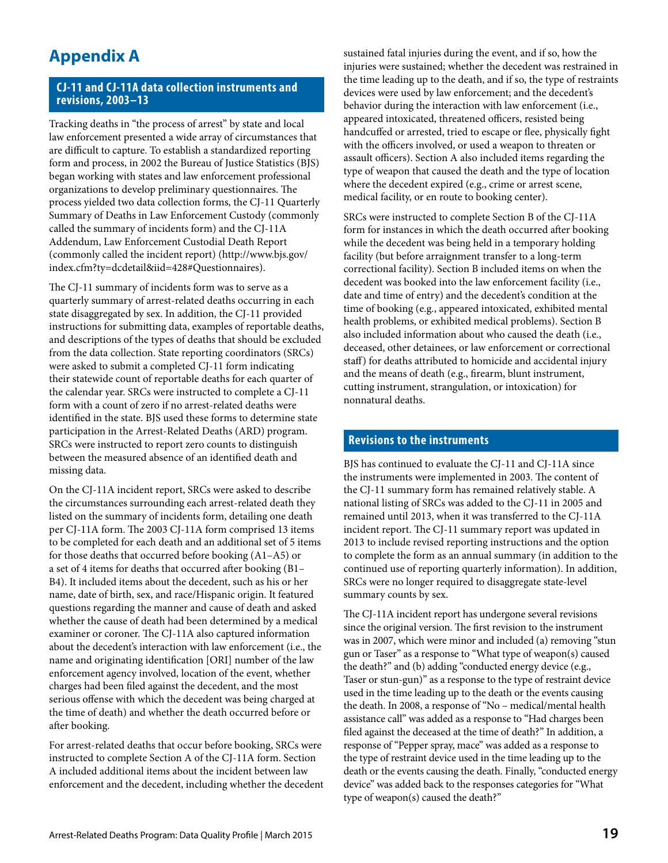## **Appendix A**

### **CJ-11 and CJ-11A data collection instruments and revisions, 2003–13**

Tracking deaths in "the process of arrest" by state and local law enforcement presented a wide array of circumstances that are difficult to capture. To establish a standardized reporting form and process, in 2002 the Bureau of Justice Statistics (BJS) began working with states and law enforcement professional organizations to develop preliminary questionnaires. The process yielded two data collection forms, the CJ-11 Quarterly Summary of Deaths in Law Enforcement Custody (commonly called the summary of incidents form) and the CJ-11A Addendum, Law Enforcement Custodial Death Report (commonly called the incident report) (http://www.bjs.gov/ index.cfm?ty=dcdetail&iid=428#Questionnaires).

The CJ-11 summary of incidents form was to serve as a quarterly summary of arrest-related deaths occurring in each state disaggregated by sex. In addition, the CJ-11 provided instructions for submitting data, examples of reportable deaths, and descriptions of the types of deaths that should be excluded from the data collection. State reporting coordinators (SRCs) were asked to submit a completed CJ-11 form indicating their statewide count of reportable deaths for each quarter of the calendar year. SRCs were instructed to complete a CJ-11 form with a count of zero if no arrest-related deaths were identified in the state. BJS used these forms to determine state participation in the Arrest-Related Deaths (ARD) program. SRCs were instructed to report zero counts to distinguish between the measured absence of an identified death and missing data.

On the CJ-11A incident report, SRCs were asked to describe the circumstances surrounding each arrest-related death they listed on the summary of incidents form, detailing one death per CJ-11A form. The 2003 CJ-11A form comprised 13 items to be completed for each death and an additional set of 5 items for those deaths that occurred before booking (A1–A5) or a set of 4 items for deaths that occurred after booking (B1– B4). It included items about the decedent, such as his or her name, date of birth, sex, and race/Hispanic origin. It featured questions regarding the manner and cause of death and asked whether the cause of death had been determined by a medical examiner or coroner. The CJ-11A also captured information about the decedent's interaction with law enforcement (i.e., the name and originating identification [ORI] number of the law enforcement agency involved, location of the event, whether charges had been filed against the decedent, and the most serious offense with which the decedent was being charged at the time of death) and whether the death occurred before or after booking.

For arrest-related deaths that occur before booking, SRCs were instructed to complete Section A of the CJ-11A form. Section A included additional items about the incident between law enforcement and the decedent, including whether the decedent sustained fatal injuries during the event, and if so, how the injuries were sustained; whether the decedent was restrained in the time leading up to the death, and if so, the type of restraints devices were used by law enforcement; and the decedent's behavior during the interaction with law enforcement (i.e., appeared intoxicated, threatened officers, resisted being handcuffed or arrested, tried to escape or flee, physically fight with the officers involved, or used a weapon to threaten or assault officers). Section A also included items regarding the type of weapon that caused the death and the type of location where the decedent expired (e.g., crime or arrest scene, medical facility, or en route to booking center).

SRCs were instructed to complete Section B of the CJ-11A form for instances in which the death occurred after booking while the decedent was being held in a temporary holding facility (but before arraignment transfer to a long-term correctional facility). Section B included items on when the decedent was booked into the law enforcement facility (i.e., date and time of entry) and the decedent's condition at the time of booking (e.g., appeared intoxicated, exhibited mental health problems, or exhibited medical problems). Section B also included information about who caused the death (i.e., deceased, other detainees, or law enforcement or correctional staff) for deaths attributed to homicide and accidental injury and the means of death (e.g., firearm, blunt instrument, cutting instrument, strangulation, or intoxication) for nonnatural deaths.

#### **Revisions to the instruments**

BJS has continued to evaluate the CJ-11 and CJ-11A since the instruments were implemented in 2003. The content of the CJ-11 summary form has remained relatively stable. A national listing of SRCs was added to the CJ-11 in 2005 and remained until 2013, when it was transferred to the CJ-11A incident report. The CJ-11 summary report was updated in 2013 to include revised reporting instructions and the option to complete the form as an annual summary (in addition to the continued use of reporting quarterly information). In addition, SRCs were no longer required to disaggregate state-level summary counts by sex.

The CJ-11A incident report has undergone several revisions since the original version. The first revision to the instrument was in 2007, which were minor and included (a) removing "stun gun or Taser" as a response to "What type of weapon(s) caused the death?" and (b) adding "conducted energy device (e.g., Taser or stun-gun)" as a response to the type of restraint device used in the time leading up to the death or the events causing the death. In 2008, a response of "No – medical/mental health assistance call" was added as a response to "Had charges been filed against the deceased at the time of death?" In addition, a response of "Pepper spray, mace" was added as a response to the type of restraint device used in the time leading up to the death or the events causing the death. Finally, "conducted energy device" was added back to the responses categories for "What type of weapon(s) caused the death?"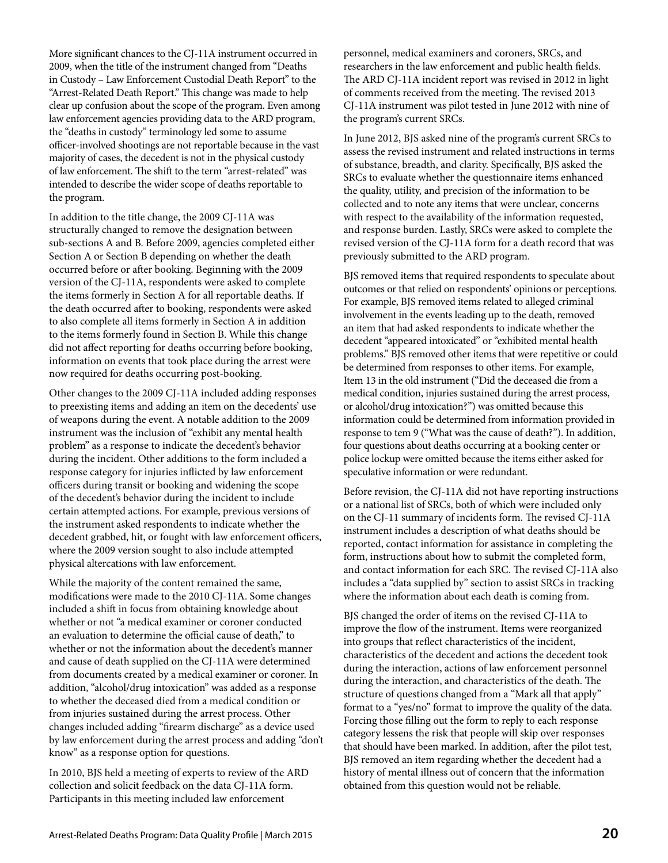More significant chances to the CJ-11A instrument occurred in 2009, when the title of the instrument changed from "Deaths in Custody – Law Enforcement Custodial Death Report" to the "Arrest-Related Death Report." This change was made to help clear up confusion about the scope of the program. Even among law enforcement agencies providing data to the ARD program, the "deaths in custody" terminology led some to assume officer-involved shootings are not reportable because in the vast majority of cases, the decedent is not in the physical custody of law enforcement. The shift to the term "arrest-related" was intended to describe the wider scope of deaths reportable to the program.

In addition to the title change, the 2009 CJ-11A was structurally changed to remove the designation between sub-sections A and B. Before 2009, agencies completed either Section A or Section B depending on whether the death occurred before or after booking. Beginning with the 2009 version of the CJ-11A, respondents were asked to complete the items formerly in Section A for all reportable deaths. If the death occurred after to booking, respondents were asked to also complete all items formerly in Section A in addition to the items formerly found in Section B. While this change did not affect reporting for deaths occurring before booking, information on events that took place during the arrest were now required for deaths occurring post-booking.

Other changes to the 2009 CJ-11A included adding responses to preexisting items and adding an item on the decedents' use of weapons during the event. A notable addition to the 2009 instrument was the inclusion of "exhibit any mental health problem" as a response to indicate the decedent's behavior during the incident. Other additions to the form included a response category for injuries inflicted by law enforcement officers during transit or booking and widening the scope of the decedent's behavior during the incident to include certain attempted actions. For example, previous versions of the instrument asked respondents to indicate whether the decedent grabbed, hit, or fought with law enforcement officers, where the 2009 version sought to also include attempted physical altercations with law enforcement.

While the majority of the content remained the same, modifications were made to the 2010 CJ-11A. Some changes included a shift in focus from obtaining knowledge about whether or not "a medical examiner or coroner conducted an evaluation to determine the official cause of death," to whether or not the information about the decedent's manner and cause of death supplied on the CJ-11A were determined from documents created by a medical examiner or coroner. In addition, "alcohol/drug intoxication" was added as a response to whether the deceased died from a medical condition or from injuries sustained during the arrest process. Other changes included adding "firearm discharge" as a device used by law enforcement during the arrest process and adding "don't know" as a response option for questions.

In 2010, BJS held a meeting of experts to review of the ARD collection and solicit feedback on the data CJ-11A form. Participants in this meeting included law enforcement

personnel, medical examiners and coroners, SRCs, and researchers in the law enforcement and public health fields. The ARD CJ-11A incident report was revised in 2012 in light of comments received from the meeting. The revised 2013 CJ-11A instrument was pilot tested in June 2012 with nine of the program's current SRCs.

In June 2012, BJS asked nine of the program's current SRCs to assess the revised instrument and related instructions in terms of substance, breadth, and clarity. Specifically, BJS asked the SRCs to evaluate whether the questionnaire items enhanced the quality, utility, and precision of the information to be collected and to note any items that were unclear, concerns with respect to the availability of the information requested, and response burden. Lastly, SRCs were asked to complete the revised version of the CJ-11A form for a death record that was previously submitted to the ARD program.

BJS removed items that required respondents to speculate about outcomes or that relied on respondents' opinions or perceptions. For example, BJS removed items related to alleged criminal involvement in the events leading up to the death, removed an item that had asked respondents to indicate whether the decedent "appeared intoxicated" or "exhibited mental health problems." BJS removed other items that were repetitive or could be determined from responses to other items. For example, Item 13 in the old instrument ("Did the deceased die from a medical condition, injuries sustained during the arrest process, or alcohol/drug intoxication?") was omitted because this information could be determined from information provided in response to tem 9 ("What was the cause of death?"). In addition, four questions about deaths occurring at a booking center or police lockup were omitted because the items either asked for speculative information or were redundant.

Before revision, the CJ-11A did not have reporting instructions or a national list of SRCs, both of which were included only on the CJ-11 summary of incidents form. The revised CJ-11A instrument includes a description of what deaths should be reported, contact information for assistance in completing the form, instructions about how to submit the completed form, and contact information for each SRC. The revised CJ-11A also includes a "data supplied by" section to assist SRCs in tracking where the information about each death is coming from.

BJS changed the order of items on the revised CJ-11A to improve the flow of the instrument. Items were reorganized into groups that reflect characteristics of the incident, characteristics of the decedent and actions the decedent took during the interaction, actions of law enforcement personnel during the interaction, and characteristics of the death. The structure of questions changed from a "Mark all that apply" format to a "yes/no" format to improve the quality of the data. Forcing those filling out the form to reply to each response category lessens the risk that people will skip over responses that should have been marked. In addition, after the pilot test, BJS removed an item regarding whether the decedent had a history of mental illness out of concern that the information obtained from this question would not be reliable.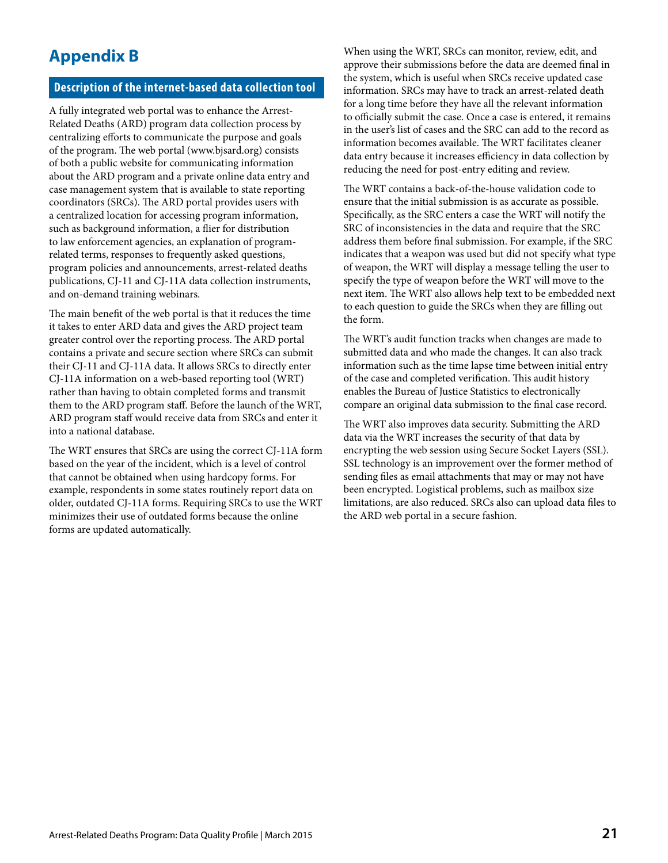## **Appendix B**

#### **Description of the internet-based data collection tool**

A fully integrated web portal was to enhance the Arrest-Related Deaths (ARD) program data collection process by centralizing efforts to communicate the purpose and goals of the program. The web portal (www.bjsard.org) consists of both a public website for communicating information about the ARD program and a private online data entry and case management system that is available to state reporting coordinators (SRCs). The ARD portal provides users with a centralized location for accessing program information, such as background information, a flier for distribution to law enforcement agencies, an explanation of programrelated terms, responses to frequently asked questions, program policies and announcements, arrest-related deaths publications, CJ-11 and CJ-11A data collection instruments, and on-demand training webinars.

The main benefit of the web portal is that it reduces the time it takes to enter ARD data and gives the ARD project team greater control over the reporting process. The ARD portal contains a private and secure section where SRCs can submit their CJ-11 and CJ-11A data. It allows SRCs to directly enter CJ-11A information on a web-based reporting tool (WRT) rather than having to obtain completed forms and transmit them to the ARD program staff. Before the launch of the WRT, ARD program staff would receive data from SRCs and enter it into a national database.

The WRT ensures that SRCs are using the correct CJ-11A form based on the year of the incident, which is a level of control that cannot be obtained when using hardcopy forms. For example, respondents in some states routinely report data on older, outdated CJ-11A forms. Requiring SRCs to use the WRT minimizes their use of outdated forms because the online forms are updated automatically.

When using the WRT, SRCs can monitor, review, edit, and approve their submissions before the data are deemed final in the system, which is useful when SRCs receive updated case information. SRCs may have to track an arrest-related death for a long time before they have all the relevant information to officially submit the case. Once a case is entered, it remains in the user's list of cases and the SRC can add to the record as information becomes available. The WRT facilitates cleaner data entry because it increases efficiency in data collection by reducing the need for post-entry editing and review.

The WRT contains a back-of-the-house validation code to ensure that the initial submission is as accurate as possible. Specifically, as the SRC enters a case the WRT will notify the SRC of inconsistencies in the data and require that the SRC address them before final submission. For example, if the SRC indicates that a weapon was used but did not specify what type of weapon, the WRT will display a message telling the user to specify the type of weapon before the WRT will move to the next item. The WRT also allows help text to be embedded next to each question to guide the SRCs when they are filling out the form.

The WRT's audit function tracks when changes are made to submitted data and who made the changes. It can also track information such as the time lapse time between initial entry of the case and completed verification. This audit history enables the Bureau of Justice Statistics to electronically compare an original data submission to the final case record.

The WRT also improves data security. Submitting the ARD data via the WRT increases the security of that data by encrypting the web session using Secure Socket Layers (SSL). SSL technology is an improvement over the former method of sending files as email attachments that may or may not have been encrypted. Logistical problems, such as mailbox size limitations, are also reduced. SRCs also can upload data files to the ARD web portal in a secure fashion.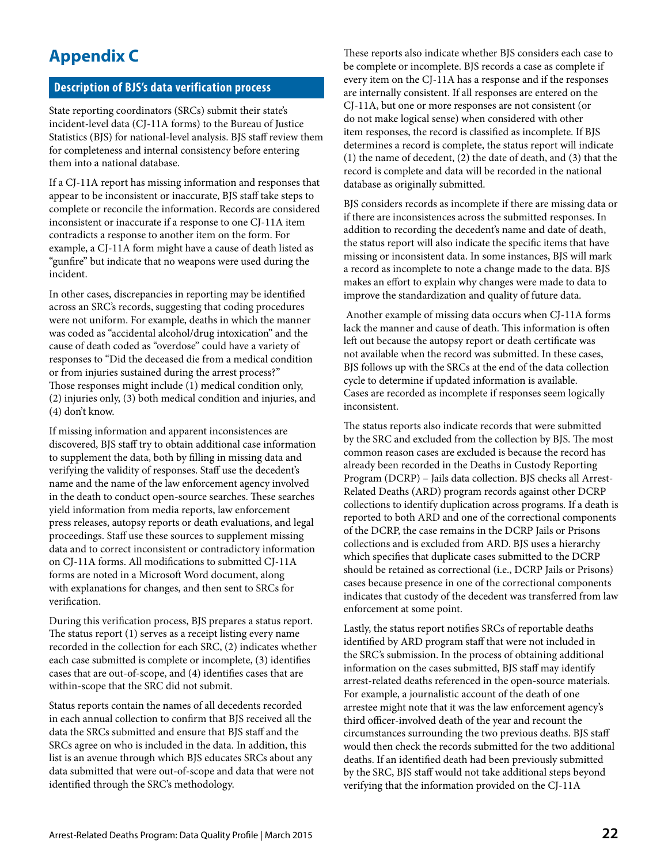## **Appendix C**

### **Description of BJS's data verification process**

State reporting coordinators (SRCs) submit their state's incident-level data (CJ-11A forms) to the Bureau of Justice Statistics (BJS) for national-level analysis. BJS staff review them for completeness and internal consistency before entering them into a national database.

If a CJ-11A report has missing information and responses that appear to be inconsistent or inaccurate, BJS staff take steps to complete or reconcile the information. Records are considered inconsistent or inaccurate if a response to one CJ-11A item contradicts a response to another item on the form. For example, a CJ-11A form might have a cause of death listed as "gunfire" but indicate that no weapons were used during the incident.

In other cases, discrepancies in reporting may be identified across an SRC's records, suggesting that coding procedures were not uniform. For example, deaths in which the manner was coded as "accidental alcohol/drug intoxication" and the cause of death coded as "overdose" could have a variety of responses to "Did the deceased die from a medical condition or from injuries sustained during the arrest process?" Those responses might include (1) medical condition only, (2) injuries only, (3) both medical condition and injuries, and (4) don't know.

If missing information and apparent inconsistences are discovered, BJS staff try to obtain additional case information to supplement the data, both by filling in missing data and verifying the validity of responses. Staff use the decedent's name and the name of the law enforcement agency involved in the death to conduct open-source searches. These searches yield information from media reports, law enforcement press releases, autopsy reports or death evaluations, and legal proceedings. Staff use these sources to supplement missing data and to correct inconsistent or contradictory information on CJ-11A forms. All modifications to submitted CJ-11A forms are noted in a Microsoft Word document, along with explanations for changes, and then sent to SRCs for verification.

During this verification process, BJS prepares a status report. The status report (1) serves as a receipt listing every name recorded in the collection for each SRC, (2) indicates whether each case submitted is complete or incomplete, (3) identifies cases that are out-of-scope, and (4) identifies cases that are within-scope that the SRC did not submit.

Status reports contain the names of all decedents recorded in each annual collection to confirm that BJS received all the data the SRCs submitted and ensure that BJS staff and the SRCs agree on who is included in the data. In addition, this list is an avenue through which BJS educates SRCs about any data submitted that were out-of-scope and data that were not identified through the SRC's methodology.

These reports also indicate whether BJS considers each case to be complete or incomplete. BJS records a case as complete if every item on the CJ-11A has a response and if the responses are internally consistent. If all responses are entered on the CJ-11A, but one or more responses are not consistent (or do not make logical sense) when considered with other item responses, the record is classified as incomplete. If BJS determines a record is complete, the status report will indicate (1) the name of decedent, (2) the date of death, and (3) that the record is complete and data will be recorded in the national database as originally submitted.

BJS considers records as incomplete if there are missing data or if there are inconsistences across the submitted responses. In addition to recording the decedent's name and date of death, the status report will also indicate the specific items that have missing or inconsistent data. In some instances, BJS will mark a record as incomplete to note a change made to the data. BJS makes an effort to explain why changes were made to data to improve the standardization and quality of future data.

 Another example of missing data occurs when CJ-11A forms lack the manner and cause of death. This information is often left out because the autopsy report or death certificate was not available when the record was submitted. In these cases, BJS follows up with the SRCs at the end of the data collection cycle to determine if updated information is available. Cases are recorded as incomplete if responses seem logically inconsistent.

The status reports also indicate records that were submitted by the SRC and excluded from the collection by BJS. The most common reason cases are excluded is because the record has already been recorded in the Deaths in Custody Reporting Program (DCRP) – Jails data collection. BJS checks all Arrest-Related Deaths (ARD) program records against other DCRP collections to identify duplication across programs. If a death is reported to both ARD and one of the correctional components of the DCRP, the case remains in the DCRP Jails or Prisons collections and is excluded from ARD. BJS uses a hierarchy which specifies that duplicate cases submitted to the DCRP should be retained as correctional (i.e., DCRP Jails or Prisons) cases because presence in one of the correctional components indicates that custody of the decedent was transferred from law enforcement at some point.

Lastly, the status report notifies SRCs of reportable deaths identified by ARD program staff that were not included in the SRC's submission. In the process of obtaining additional information on the cases submitted, BJS staff may identify arrest-related deaths referenced in the open-source materials. For example, a journalistic account of the death of one arrestee might note that it was the law enforcement agency's third officer-involved death of the year and recount the circumstances surrounding the two previous deaths. BJS staff would then check the records submitted for the two additional deaths. If an identified death had been previously submitted by the SRC, BJS staff would not take additional steps beyond verifying that the information provided on the CJ-11A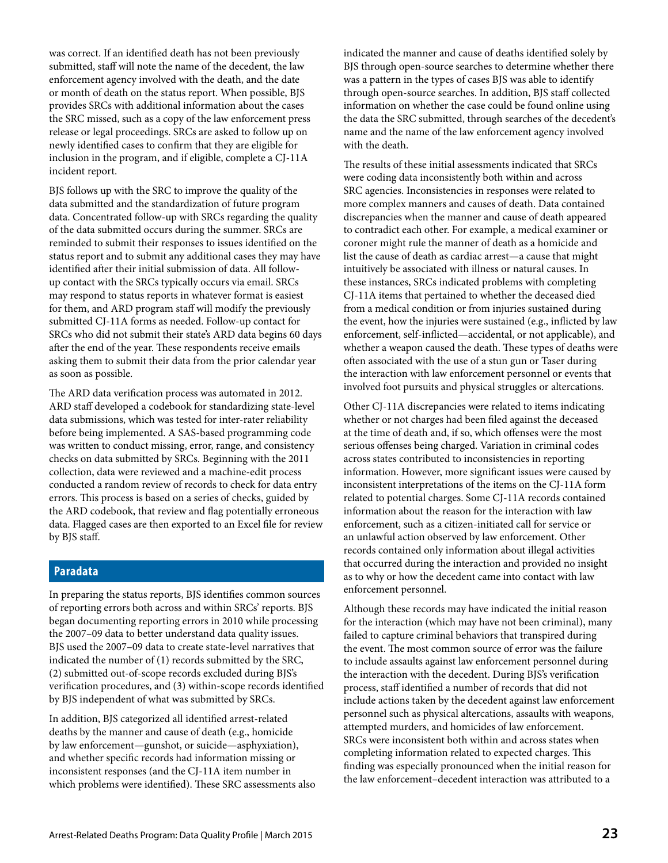was correct. If an identified death has not been previously submitted, staff will note the name of the decedent, the law enforcement agency involved with the death, and the date or month of death on the status report. When possible, BJS provides SRCs with additional information about the cases the SRC missed, such as a copy of the law enforcement press release or legal proceedings. SRCs are asked to follow up on newly identified cases to confirm that they are eligible for inclusion in the program, and if eligible, complete a CJ-11A incident report.

BJS follows up with the SRC to improve the quality of the data submitted and the standardization of future program data. Concentrated follow-up with SRCs regarding the quality of the data submitted occurs during the summer. SRCs are reminded to submit their responses to issues identified on the status report and to submit any additional cases they may have identified after their initial submission of data. All followup contact with the SRCs typically occurs via email. SRCs may respond to status reports in whatever format is easiest for them, and ARD program staff will modify the previously submitted CJ-11A forms as needed. Follow-up contact for SRCs who did not submit their state's ARD data begins 60 days after the end of the year. These respondents receive emails asking them to submit their data from the prior calendar year as soon as possible.

The ARD data verification process was automated in 2012. ARD staff developed a codebook for standardizing state-level data submissions, which was tested for inter-rater reliability before being implemented. A SAS-based programming code was written to conduct missing, error, range, and consistency checks on data submitted by SRCs. Beginning with the 2011 collection, data were reviewed and a machine-edit process conducted a random review of records to check for data entry errors. This process is based on a series of checks, guided by the ARD codebook, that review and flag potentially erroneous data. Flagged cases are then exported to an Excel file for review by BJS staff.

#### **Paradata**

In preparing the status reports, BJS identifies common sources of reporting errors both across and within SRCs' reports. BJS began documenting reporting errors in 2010 while processing the 2007–09 data to better understand data quality issues. BJS used the 2007–09 data to create state-level narratives that indicated the number of (1) records submitted by the SRC, (2) submitted out-of-scope records excluded during BJS's verification procedures, and (3) within-scope records identified by BJS independent of what was submitted by SRCs.

In addition, BJS categorized all identified arrest-related deaths by the manner and cause of death (e.g., homicide by law enforcement—gunshot, or suicide—asphyxiation), and whether specific records had information missing or inconsistent responses (and the CJ-11A item number in which problems were identified). These SRC assessments also indicated the manner and cause of deaths identified solely by BJS through open-source searches to determine whether there was a pattern in the types of cases BJS was able to identify through open-source searches. In addition, BJS staff collected information on whether the case could be found online using the data the SRC submitted, through searches of the decedent's name and the name of the law enforcement agency involved with the death.

The results of these initial assessments indicated that SRCs were coding data inconsistently both within and across SRC agencies. Inconsistencies in responses were related to more complex manners and causes of death. Data contained discrepancies when the manner and cause of death appeared to contradict each other. For example, a medical examiner or coroner might rule the manner of death as a homicide and list the cause of death as cardiac arrest—a cause that might intuitively be associated with illness or natural causes. In these instances, SRCs indicated problems with completing CJ-11A items that pertained to whether the deceased died from a medical condition or from injuries sustained during the event, how the injuries were sustained (e.g., inflicted by law enforcement, self-inflicted—accidental, or not applicable), and whether a weapon caused the death. These types of deaths were often associated with the use of a stun gun or Taser during the interaction with law enforcement personnel or events that involved foot pursuits and physical struggles or altercations.

Other CJ-11A discrepancies were related to items indicating whether or not charges had been filed against the deceased at the time of death and, if so, which offenses were the most serious offenses being charged. Variation in criminal codes across states contributed to inconsistencies in reporting information. However, more significant issues were caused by inconsistent interpretations of the items on the CJ-11A form related to potential charges. Some CJ-11A records contained information about the reason for the interaction with law enforcement, such as a citizen-initiated call for service or an unlawful action observed by law enforcement. Other records contained only information about illegal activities that occurred during the interaction and provided no insight as to why or how the decedent came into contact with law enforcement personnel.

Although these records may have indicated the initial reason for the interaction (which may have not been criminal), many failed to capture criminal behaviors that transpired during the event. The most common source of error was the failure to include assaults against law enforcement personnel during the interaction with the decedent. During BJS's verification process, staff identified a number of records that did not include actions taken by the decedent against law enforcement personnel such as physical altercations, assaults with weapons, attempted murders, and homicides of law enforcement. SRCs were inconsistent both within and across states when completing information related to expected charges. This finding was especially pronounced when the initial reason for the law enforcement–decedent interaction was attributed to a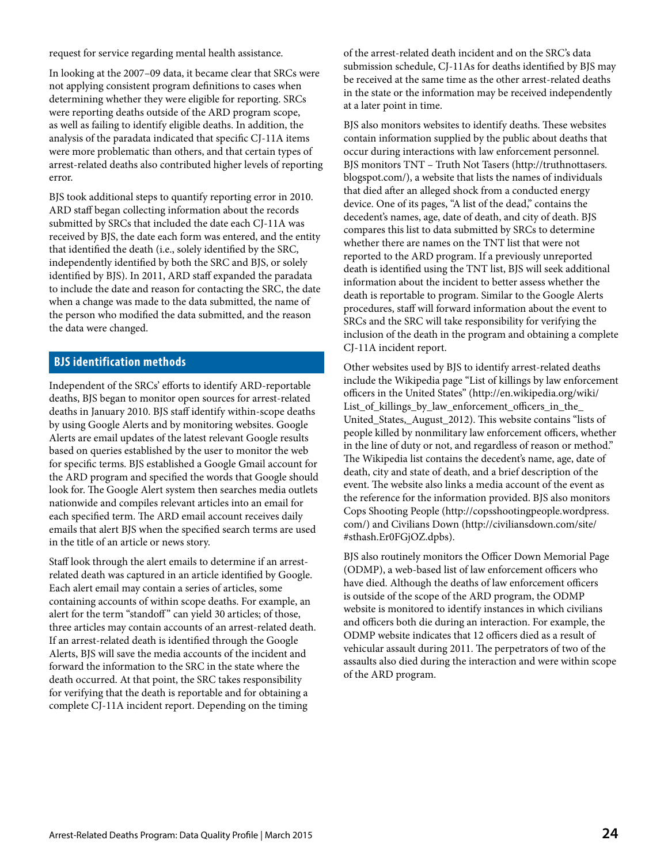request for service regarding mental health assistance.

In looking at the 2007–09 data, it became clear that SRCs were not applying consistent program definitions to cases when determining whether they were eligible for reporting. SRCs were reporting deaths outside of the ARD program scope, as well as failing to identify eligible deaths. In addition, the analysis of the paradata indicated that specific CJ-11A items were more problematic than others, and that certain types of arrest-related deaths also contributed higher levels of reporting error.

BJS took additional steps to quantify reporting error in 2010. ARD staff began collecting information about the records submitted by SRCs that included the date each CJ-11A was received by BJS, the date each form was entered, and the entity that identified the death (i.e., solely identified by the SRC, independently identified by both the SRC and BJS, or solely identified by BJS). In 2011, ARD staff expanded the paradata to include the date and reason for contacting the SRC, the date when a change was made to the data submitted, the name of the person who modified the data submitted, and the reason the data were changed.

### **BJS identification methods**

Independent of the SRCs' efforts to identify ARD-reportable deaths, BJS began to monitor open sources for arrest-related deaths in January 2010. BJS staff identify within-scope deaths by using Google Alerts and by monitoring websites. Google Alerts are email updates of the latest relevant Google results based on queries established by the user to monitor the web for specific terms. BJS established a Google Gmail account for the ARD program and specified the words that Google should look for. The Google Alert system then searches media outlets nationwide and compiles relevant articles into an email for each specified term. The ARD email account receives daily emails that alert BJS when the specified search terms are used in the title of an article or news story.

Staff look through the alert emails to determine if an arrestrelated death was captured in an article identified by Google. Each alert email may contain a series of articles, some containing accounts of within scope deaths. For example, an alert for the term "standoff" can yield 30 articles; of those, three articles may contain accounts of an arrest-related death. If an arrest-related death is identified through the Google Alerts, BJS will save the media accounts of the incident and forward the information to the SRC in the state where the death occurred. At that point, the SRC takes responsibility for verifying that the death is reportable and for obtaining a complete CJ-11A incident report. Depending on the timing

of the arrest-related death incident and on the SRC's data submission schedule, CJ-11As for deaths identified by BJS may be received at the same time as the other arrest-related deaths in the state or the information may be received independently at a later point in time.

BJS also monitors websites to identify deaths. These websites contain information supplied by the public about deaths that occur during interactions with law enforcement personnel. BJS monitors TNT – Truth Not Tasers (http://truthnottasers. blogspot.com/), a website that lists the names of individuals that died after an alleged shock from a conducted energy device. One of its pages, "A list of the dead," contains the decedent's names, age, date of death, and city of death. BJS compares this list to data submitted by SRCs to determine whether there are names on the TNT list that were not reported to the ARD program. If a previously unreported death is identified using the TNT list, BJS will seek additional information about the incident to better assess whether the death is reportable to program. Similar to the Google Alerts procedures, staff will forward information about the event to SRCs and the SRC will take responsibility for verifying the inclusion of the death in the program and obtaining a complete CJ-11A incident report.

Other websites used by BJS to identify arrest-related deaths include the Wikipedia page "List of killings by law enforcement officers in the United States" (http://en.wikipedia.org/wiki/ List\_of\_killings\_by\_law\_enforcement\_officers\_in\_the\_ United\_States,\_August\_2012). This website contains "lists of people killed by nonmilitary law enforcement officers, whether in the line of duty or not, and regardless of reason or method." The Wikipedia list contains the decedent's name, age, date of death, city and state of death, and a brief description of the event. The website also links a media account of the event as the reference for the information provided. BJS also monitors Cops Shooting People (http://copsshootingpeople.wordpress. com/) and Civilians Down (http://civiliansdown.com/site/ #sthash.Er0FGjOZ.dpbs).

BJS also routinely monitors the Officer Down Memorial Page (ODMP), a web-based list of law enforcement officers who have died. Although the deaths of law enforcement officers is outside of the scope of the ARD program, the ODMP website is monitored to identify instances in which civilians and officers both die during an interaction. For example, the ODMP website indicates that 12 officers died as a result of vehicular assault during 2011. The perpetrators of two of the assaults also died during the interaction and were within scope of the ARD program.